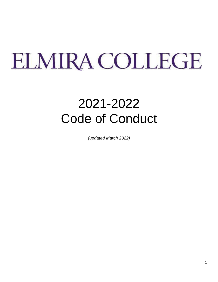# ELMIRA COLLEGE

## 2021-2022 Code of Conduct

*(updated March 2022)*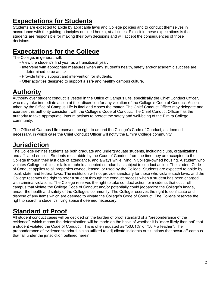## **Expectations for Students**

Students are expected to abide by applicable laws and College policies and to conduct themselves in accordance with the guiding principles outlined herein, at all times. Explicit in these expectations is that students are responsible for making their own decisions and will accept the consequences of those decisions.

## **Expectations for the College**

The College, in general, will:

- View the student's first year as a transitional year.
- Intervene with appropriate measures when any student's health, safety and/or academic success are determined to be at risk.
- Provide timely support and intervention for students.
- Offer activities designed to support a safe and healthy campus culture.

## **Authority**

Authority over student conduct is vested in the Office of Campus Life, specifically the Chief Conduct Officer, who may take immediate action at their discretion for any violation of the College's Code of Conduct. Action taken by the Office of Campus Life is final and closes the matter. The Chief Conduct Officer may delegate and exercise this authority consistent with the College's Code of Conduct. The Chief Conduct Officer has the authority to take appropriate, interim actions to protect the safety and well-being of the Elmira College community.

The Office of Campus Life reserves the right to amend the College's Code of Conduct, as deemed necessary, in which case the Chief Conduct Officer will notify the Elmira College community.

## **Jurisdiction**

The College defines students as both graduate and undergraduate students, including clubs, organizations, and affiliated entities. Students must abide by the Code of Conduct from the time they are accepted to the College through their last date of attendance, and always while living in College-owned housing. A student who violates College policies or fails to uphold accepted standards is subject to conduct action. The student Code of Conduct applies to all properties owned, leased, or used by the College. Students are expected to abide by local, state, and federal laws. The institution will not provide sanctuary for those who violate such laws, and the College reserves the right to refer a student through the conduct process when a student has been charged with criminal violations. The College reserves the right to take conduct action for incidents that occur off campus that violate the College Code of Conduct and/or potentially could jeopardize the College's image, and/or the health and safety of the College's community. The College reserves the right to confiscate and dispose of any items which are deemed to violate the College's Code of Conduct. The College reserves the right to search a student's living space if deemed necessary.

## **Standard of Proof**

All student conduct cases will be decided on the burden of proof standard of a "preponderance of the evidence" -which means the determination will be made on the basis of whether it is "more likely than not" that a student violated the Code of Conduct. This is often equated as "50.01%" or "50 + a feather". The preponderance of evidence standard is also utilized to adjudicate incidents or situations that occur off-campus that fall under the jurisdiction outlined herein.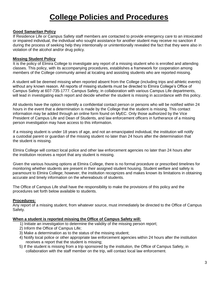## **College Policies and Procedures**

#### **Good Samaritan Policy**

If Residence Life or Campus Safety staff members are contacted to provide emergency care to an intoxicated or impaired individual, the individual who sought assistance for another student may receive no sanction if during the process of seeking help they intentionally or unintentionally revealed the fact that they were also in violation of the alcohol and/or drug policy.

#### **Missing Student Policy**

It is the policy of Elmira College to investigate any report of a missing student who is enrolled and attending classes. This policy, with its accompanying procedures, establishes a framework for cooperation among members of the College community aimed at locating and assisting students who are reported missing.

A student will be deemed missing when reported absent from the College (including trips and athletic events) without any known reason. All reports of missing students must be directed to Elmira College's Office of Campus Safety at 607-735-1777. Campus Safety, in collaboration with various Campus Life departments, will lead in investigating each report and decide whether the student is missing in accordance with this policy.

All students have the option to identify a confidential contact person or persons who will be notified within 24 hours in the event that a determination is made by the College that the student is missing. This contact information may be added through an online form found on MyEC. Only those authorized by the Vice President of Campus Life and Dean of Students, and law enforcement officers in furtherance of a missing person investigation may have access to this information.

If a missing student is under 18 years of age, and not an emancipated individual, the institution will notify a custodial parent or guardian of the missing student no later than 24 hours after the determination that the student is missing.

Elmira College will contact local police and other law enforcement agencies no later than 24 hours after the institution receives a report that any student is missing.

Given the various housing options at Elmira College, there is no formal procedure or prescribed timelines for monitoring whether students are present in their assigned student housing. Student welfare and safety is paramount to Elmira College; however, the institution recognizes and makes known its limitations in obtaining accurate and timely information on the whereabouts of students.

The Office of Campus Life shall have the responsibility to make the provisions of this policy and the procedures set forth below available to students.

#### **Procedures:**

Any report of a missing student, from whatever source, must immediately be directed to the Office of Campus Safety.

#### **When a student is reported missing the Office of Campus Safety will:**

- 1) Initiate an investigation to determine the validity of the missing person report;
- 2) Inform the Office of Campus Life;
- 3) Make a determination as to the status of the missing student;
- 4) Notify local police or other appropriate law enforcement agencies within 24 hours after the institution receives a report that the student is missing;
- 5) If the student is missing from a trip sponsored by the institution, the Office of Campus Safety, in collaboration with the staff member on the trip, will contact local law enforcement.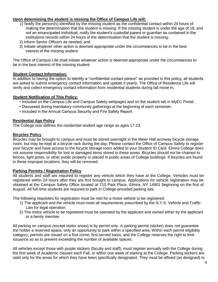#### **Upon determining the student is missing the Office of Campus Life will:**

- 1) Notify the person(s) identified by the missing student as the confidential contact within 24 hours of making the determination that the student is missing; If the missing student is under the age of 18, and not an emancipated individual, notify the student's custodial parent or guardian as contained in the institutions records within 24 hours of the determination that the student is missing;
- 2) Inform Senior Officers as needed; and
- 3) Initiate whatever other action is deemed appropriate under the circumstances to be in the best interest of the missing student.

The Office of Campus Life shall initiate whatever action is deemed appropriate under the circumstances to be in the best interest of the missing student.

#### **Student Contact Information:**

In addition to having the option to identify a "confidential contact person" as provided in this policy, all students are asked to submit emergency contact information and update it yearly. The Office of Residence Life will verify and collect emergency contact information from residential students during fall move in.

#### **Student Notification of This Policy:**

- Included on the Campus Life and Campus Safety webpages and on the student tab in MyEC Portal.
- Discussed during mandatory community gatherings at the beginning of each semester.
- Included in the Annual Campus Security and Fire Safety Report.

#### **Residential Age Policy**

The College now defines the residential student age range as ages 17-23.

#### **Bicycles Policy**

Bicycles may be brought to campus and must be stored overnight in the Meier Hall archway bicycle storage room, but may be kept at a bicycle rack during the day. Please contact the Office of Campus Safety to register your bicycle and have access to the bicycle storage room added to your Student ID Card. Elmira College does not assume responsibility for lost or damaged items stored in these areas. Bicycles should not be chained to fences, light posts, or other public property or placed in public areas of College buildings. If bicycles are found in these improper locations, they will be removed.

#### **Parking Permits / Registration Policy**

All students and staff are required to register any vehicle which they have at the College. Vehicles must be registered within 24 hours after they are first brought to campus. Applications for vehicle registration may be obtained at the Campus Safety Office located at 710 Park Place, Elmira, NY 14901 beginning on the first of August. All full-time students are required to park in College-provided parking lots.

The following requisites for registration must be met for a motor vehicle to be registered:

- 1) The applicant and the vehicle must meet all requirements prescribed by the N.Y.S. Vehicle and Traffic Law for legal operation.
- 2) The motor vehicle to be registered must be operated by the applicant and owned either by the applicant or a family member.

All parking on campus (except visitor areas) is by permit only. A parking permit (sticker) does not guarantee the holder a reserved space, only an opportunity to park within a specified area. Within each permit eligibility category, permits are issued on a first-come, first-served basis, and the College reserves the right to limit issuance so as to prevent exceeding the number of available spaces.

All vehicles except those with purple stickers (faculty and staff), must register annually with the College during the first week of Academic classes each Fall, or within one week of starting at the College. Parking stickers are valid only for the areas for which they have been specifically designated. They must be affixed (as designed) to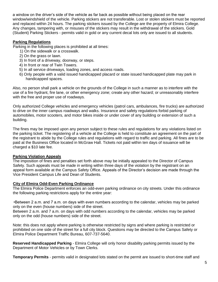a window on the driver's side of the vehicle as far back as possible without being placed on the rear window/windshield of the vehicle. Parking stickers are not transferable. Lost or stolen stickers must be reported and replaced within 24 hours. The parking stickers issued by the College are the property of Elmira College. Any changes, tampering with, or misuses of the stickers may result in the withdrawal of the stickers. Gold (Student) Parking Stickers - permits valid in gold or any current decal lots only are issued to all students.

#### **Parking Regulations**

Parking in the following places is prohibited at all times:

- 1) On the sidewalk or a crosswalk.
- 2) On the grass or lawn.
- 3) In front of a driveway, doorway, or steps.
- 4) In front or rear of Twin Towers.
- 5) In all service driveways, loading zones, and access roads.
- 6) Only people with a valid issued handicapped placard or state issued handicapped plate may park in handicapped spaces.

Also, no person shall park a vehicle on the grounds of the College in such a manner as to interfere with the use of a fire hydrant, fire lane, or other emergency zone; create any other hazard; or unreasonably interfere with the free and proper use of roadways.

Only authorized College vehicles and emergency vehicles (patrol cars, ambulances, fire trucks) are authorized to drive on the inner campus roadways and walks. Insurance and safety regulations forbid parking of automobiles, motor scooters, and motor bikes inside or under cover of any building or extension of such a building.

The fines may be imposed upon any person subject to these rules and regulations for any violations listed on the parking ticket. The registering of a vehicle at the College is held to constitute an agreement on the part of the registrant to abide by the College rules and regulations with regard to traffic and parking. All fines are to be paid at the Business Office located in McGraw Hall. Tickets not paid within ten days of issuance will be charged a \$10 late fee.

#### **Parking Violation Appeals**

The imposition of fines and penalties set forth above may be initially appealed to the Director of Campus Safety. Such appeals must be made in writing within three days of the violation by the registrant on an appeal form available at the Campus Safety Office. Appeals of the Director's decision are made through the Vice President Campus Life and Dean of Students.

#### **City of Elmira Odd-Even Parking Ordinance**

The Elmira Police Department enforces an odd-even parking ordinance on city streets. Under this ordinance the following parking restrictions apply for the entire year:

•Between 2 a.m. and 7 a.m. on days with even numbers according to the calendar, vehicles may be parked only on the even (house numbers) side of the street.

Between 2 a.m. and 7 a.m. on days with odd numbers according to the calendar, vehicles may be parked only on the odd (house numbers) side of the street.

Note: this does not apply where parking is otherwise restricted by signs and where parking is restricted or prohibited on one side of the street for a full city block. Questions may be directed to the Campus Safety or Elmira Police Department Traffic Bureau, 607-737-5640.

**Reserved Handicapped Parking** - Elmira College will only honor disability parking permits issued by the Department of Motor Vehicles or by Town Clerks.

**Temporary Permits** - permits valid in designated lots stated on the permit are issued to short-time staff and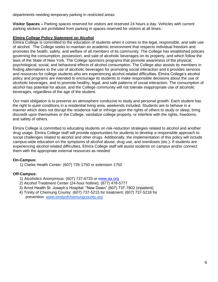departments needing temporary parking in restricted areas.

**Visitor Spaces –** Parking spaces reserved for visitors are reserved 24 hours a day. Vehicles with current parking stickers are prohibited from parking in spaces reserved for visitors at all times.

#### **Elmira College Policy Statement on Alcohol**

Elmira College is committed to the education of students when it comes to the legal, responsible, and safe use of alcohol. The College seeks to maintain an academic environment that respects individual freedom and promotes the health, safety, and welfare of all members of its community. The College has established policies governing the consumption, possession, and sale of alcoholic beverages on its property, and which follow the laws of the State of New York. The College sponsors programs that promote awareness of the physical, psychological, social, and behavioral effects of alcohol consumption. The College also assists its members in finding alternatives to the use of alcoholic beverages for promoting social interaction and it provides services and resources for college students who are experiencing alcohol-related difficulties. Elmira College's alcohol policy and programs are intended to encourage its students to make responsible decisions about the use of alcoholic beverages, and to promote healthy, legal, and safe patterns of social interaction. The consumption of alcohol has potential for abuse, and the College community will not tolerate inappropriate use of alcoholic beverages, regardless of the age of the student.

Our main obligation is to preserve an atmosphere conducive to study and personal growth. Each student has the right to quiet conditions in a residential living area, weekends included. Students are to behave in a manner which does not disrupt the residence hall or infringe upon the rights of others to study or sleep, bring discredit upon themselves or the College, vandalize college property, or interfere with the rights, freedoms, and safety of others.

Elmira College is committed to educating students on risk-reduction strategies related to alcohol and another drug usage. Elmira College staff will provide opportunities for students to develop a responsible approach to social challenges related to alcohol and other drugs. Additionally, the implementation of this policy will include campus-wide education on the symptoms of alcohol abuse, drug use, and overdoses (etc.). If students are experiencing alcohol-related difficulties, Elmira College staff will assist students on campus and/or connect them with the appropriate external resources as needed:

#### **On-Campus:**

1) Clarke Health Center: (607) 735-1750 or extension 1750

#### **Off-Campus:**

- 1) Alcoholics Anonymous: (607) 737-6733 or www.aa.org
- 2) Alcohol Treatment Center (24-hour hotline): (877) 478-5777
- 3) Arnot Health St. Joseph's Hospital: "New Dawn" (607) 737-7802 (inpatient)
- 4) Trinity of Chemung County: (607) 737-5215 for treatment; (607) 737-5218 for prevention [www.trinityofchemungcounty.org](http://www.trinityofchemungcounty.org/)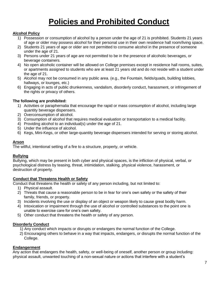## **Policies and Prohibited Conduct**

#### **Alcohol Policy**

- 1) Possession or consumption of alcohol by a person under the age of 21 is prohibited. Students 21 years of age or older may possess alcohol for their personal use in their own residence hall room/living space.
- 2) Students 21 years of age or older are not permitted to consume alcohol in the presence of someone under the age of 21.
- 3) Persons under 21 years of age are not permitted to be in the presence of alcoholic beverages, or beverage containers.
- 4) No open alcoholic container will be allowed on College premises except in residence hall rooms, suites, or apartments assigned to students who are at least 21 years old and do not reside with a student under the age of 21.
- 5) Alcohol may not be consumed in any public area. (e.g., the Fountain, fields/quads, building lobbies, hallways, or lounges, etc.)
- 6) Engaging in acts of public drunkenness, vandalism, disorderly conduct, harassment, or infringement of the rights or privacy of others.

#### **The following are prohibited:**

- 1) Activities or paraphernalia that encourage the rapid or mass consumption of alcohol, including large quantity beverage dispensers.
- 2) Overconsumption of alcohol.
- 3) Consumption of alcohol that requires medical evaluation or transportation to a medical facility.
- 4) Providing alcohol to an individual(s) under the age of 21.
- 5) Under the influence of alcohol.
- 6) Kegs, Mini-Kegs, or other large-quantity beverage dispensers intended for serving or storing alcohol.

#### **Arson**

The willful, intentional setting of a fire to a structure, property, or vehicle.

#### **Bullying**

Bullying, which may be present in both cyber and physical spaces, is the infliction of physical, verbal, or psychological distress by teasing, threat, intimidation, stalking, physical violence, harassment, or destruction of property.

#### **Conduct that Threatens Health or Safety**

Conduct that threatens the health or safety of any person including, but not limited to:

- 1) Physical assault.
- 2) Threats that cause a reasonable person to be in fear for one's own safety or the safety of their family, friends, or property.
- 3) Incidents involving the use or display of an object or weapon likely to cause great bodily harm.
- 4) Intoxication or impairment through the use of alcohol or controlled substances to the point one is unable to exercise care for one's own safety.
- 5) Other conduct that threatens the health or safety of any person.

#### **Disorderly Conduct**

- 1) Any conduct which impacts or disrupts or endangers the normal function of the College.
- 2) Encouraging others to behave in a way that impacts, endangers, or disrupts the normal function of the College.

#### **Endangerment**

Any action that endangers the health, safety, or well-being of oneself, another person or group including: physical assault, unwanted touching of a non-sexual nature or actions that interfere with a student's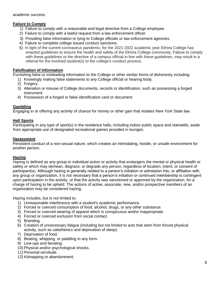academic success.

#### **Failure to Comply**

- 1) Failure to comply with a reasonable and legal directive from a College employee.
- 2) Failure to comply with a lawful request from a law enforcement officer.
- 3) Providing false information or lying to College officials or law enforcement agencies.
- 4) Failure to complete college issued conduct sanctions.
- 5) In light of the current coronavirus pandemic, for the 2021-2022 academic year Elmira College has enacted guidelines to ensure the health and safety of the Elmira College community. Failure to comply with these guidelines or the directive of a campus official in line with these guidelines, may result in a referral for the involved student(s) to the college's conduct process.

#### **Falsification of Information**

Furnishing false or misleading information to the College or other similar forms of dishonesty including:

- 1) Knowingly making false statements to any College official or hearing body.
- 2) Forgery.
- 3) Alteration or misuse of College documents, records or identification, such as possessing a forged instrument.
- 4) Possession of a forged or false identification card or document.

#### **Gambling**

Engaging in or offering any activity of chance for money or other gain that violates New York State law.

#### **Hall Sports**

Participating in any type of sport(s) in the residence halls, including indoor public space and stairwells, aside from appropriate use of designated recreational games provided in lounges.

#### **Harassment**

Persistent conduct of a non-sexual nature, which creates an intimidating, hostile, or unsafe environment for another person.

#### **Hazing**

Hazing is defined as any group or individual action or activity that endangers the mental or physical health or safety or which may demean, disgrace, or degrade any person, regardless of location, intent, or consent of participant(s). Although hazing is generally related to a person's initiation or admission into, or affiliation with, any group or organization, it is not necessary that a person's initiation or continued membership is contingent upon participation in the activity, or that the activity was sanctioned or approved by the organization, for a charge of hazing to be upheld. The actions of active, associate, new, and/or prospective members of an organization may be considered hazing.

Hazing includes, but is not limited to:

- 1) Unreasonable interference with a student's academic performance.
- 2) Forced or coerced consumption of food, alcohol, drugs, or any other substance.
- 3) Forced or coerced wearing of apparel which is conspicuous and/or inappropriate.
- 4) Forced or coerced exclusion from social contact.
- 5) Branding.
- 6) Creation of unnecessary fatigue (including but not limited to acts that stem from forced physical activity, such as calisthenics and deprivation of sleep).
- 7) Deprivation of food.
- 8) Beating, whipping, or paddling in any form.
- 9) Line-ups and berating.
- 10) Physical and/or psychological shocks.
- 11) Personal servitude.
- 12) Kidnapping or abandonment.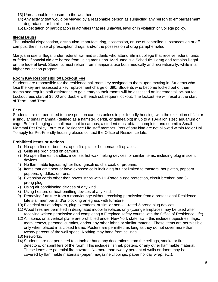- 13) Unreasonable exposure to the weather.
- 14) Any activity that would be viewed by a reasonable person as subjecting any person to embarrassment, degradation or humiliation.
- 15) Expectation of participation in activities that are unlawful, lewd or in violation of College policy.

#### **Illegal Drugs**

The unlawful dispensation, distribution, manufacturing, possession, or use of controlled substances on or off campus; the misuse of prescription drugs; and/or the possession of drug paraphernalia.

Marijuana use is illegal under federal law, and students who attend Elmira college that receive federal funds or federal financial aid are barred from using marijuana. Marijuana is a Schedule 1 drug and remains illegal on the federal level. Students must refrain from marijuana use both medically and recreationally, while in a higher education program.

#### **Room Key Responsibility/ Lockout Fee**

Students are responsible for the residence hall room key assigned to them upon moving in. Students who lose the key are assessed a key replacement charge of \$90. Students who become locked out of their rooms and require staff assistance to gain entry to their rooms will be assessed an incremental lockout fee. Lockout fees start at \$5.00 and double with each subsequent lockout. The lockout fee will reset at the start of Term I and Term II.

#### **Pets**

Students are not permitted to have pets on campus unless in pet-friendly housing, with the exception of fish or a singular small mammal (defined as a hamster, gerbil, or guinea pig) in up to a 10-gallon sized aquarium or cage. Before bringing a small mammal to campus, a student must obtain, complete, and submit a Small Mammal Pet Policy Form to a Residence Life staff member. Pets of any kind are not allowed within Meier Hall. To apply for Pet-Friendly housing please contact the Office of Residence Life.

#### **Prohibited Items or Actions**

- 1) No open fires or bonfires, open fire pits, or homemade fireplaces.
- 2) Grills are prohibited on campus.
- 3) No open flames, candles, incense, hot wax melting devices, or similar items, including plug in scent devices.
- 4) No flammable liquids, lighter fluid, gasoline, charcoal, or propane.
- 5) Items that emit heat or have exposed coils including but not limited to toasters, hot plates, popcorn poppers, griddles, or irons.
- 6) Extension cords other than power strips with UL-Rated surge protection, circuit breaker, and 3 prong plug.
- 7) Using air conditioning devices of any kind.
- 8) Using heaters or heat-emitting devices of any kind.
- 9) Removing furniture from a room/lounge without receiving permission from a professional Residence Life staff member and/or blocking an egress with furniture.
- 10) Electrical outlet adaptors, plug extenders, or similar non-UL-rated 3-prong plug devices.
- 11) Wood fires are permitted in designated indoor fireplaces only (Lounge fireplaces may be used after receiving written permission and completing a Fireplace safety course with the Office of Residence Life).
- 12) All fabrics on a vertical plane are prohibited under New York state law this includes tapestries, flags, team jerseys, personal curtains, and/or any other fabric or similar material. These items are permissible only when placed in a closed frame. Posters are permitted as long as they do not cover more than twenty percent of the wall space. Nothing may hang from ceilings.
- 13) Fireworks.
- 14) Students are not permitted to attach or hang any decorations from the ceilings, smoke or fire detectors, or sprinklers of the room. This includes fishnet, posters, or any other flammable material. These items are potential fire hazards. No more than twenty percent of walls or doors may be covered by flammable materials (paper, magazine clippings, paper holiday wrap, etc.).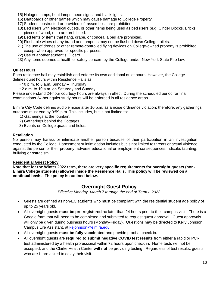- 15) Halogen lamps, heat lamps, neon signs, and black lights.
- 16) Dartboards or other games which may cause damage to College Property.
- 17) Student constructed or provided loft assemblies are prohibited.
- 18) Bed risers with electrical outlets, or other items being used as bed risers (e.g. Cinder Blocks, Bricks, pieces of wood, etc.) are prohibited.
- 19) Bed tents or items that hang, drape, or conceal a bed are prohibited.
- 20) Flushable wipes of any brand and tampons may not be flushed down College toilets.
- 21) The use of drones or other remote-controlled flying devices on College-owned property is prohibited, except when approved for specific purposes.
- 22) Use of another student's ID card.
- 23) Any items deemed a health or safety concern by the College and/or New York State Fire law.

#### **Quiet Hours**

Each residence hall may establish and enforce its own additional quiet hours. However, the College defines quiet hours within Residence Halls as:

- 10 p.m. to 8 a.m. Sunday Thursday
- 2 a.m. to 10 a.m. on Saturday and Sunday

Please understand 24-hour courtesy hours are always in effect. During the scheduled period for final examinations 24-hour quiet study hours will be enforced in all residence areas.

Elmira City Code defines audible noise after 10 p.m. as a noise ordinance violation; therefore, any gatherings outdoors must end by 9:59 p.m. This includes, but is not limited to:

- 1) Gatherings at the fountain.
- 2) Gatherings behind the Cottages.
- 3) Events on College quads and fields.

#### **Retaliation**

No person may harass or intimidate another person because of their participation in an investigation conducted by the College. Harassment or intimidation includes but is not limited to threats or actual violence against the person or their property, adverse educational or employment consequences, ridicule, taunting, bullying or ostracism.

#### **Residential Guest Policy**

**Note that for the Winter 2022 term, there are very specific requirements for overnight guests (non-Elmira College students) allowed inside the Residence Halls. This policy will be reviewed on a continual basis. The policy is outlined below.**

#### **Overnight Guest Policy**

*Effective Monday, March 7 through the end of Term II 2022*

- Guests are defined as non-EC students who must be compliant with the residential student age policy of up to 25 years old.
- All overnight guests **must be pre-registered** no later than 24 hours prior to their campus visit. There is a Google form that will need to be completed and submitted to request guest approval. Guest approvals will only be given during business hours (Monday-Friday). Questions may be directed to Kelly Johnson, Campus Life Assistant, at [kejohnson@elmira.edu.](mailto:kejohnson@elmira.edu)
- All overnight guests **must be fully vaccinated** and provide proof at check in.
- All overnight guests are **required to submit negative COVID test results** from either a rapid or PCR test administered by a health professional within 72 hours upon check in. Home tests will not be accepted, and the Clarke Health Center **will not** be providing testing. Regardless of test results, guests who are ill are asked to delay their visit.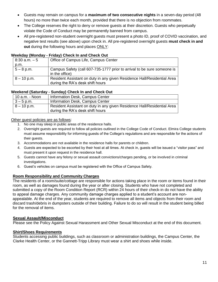- Guests may remain on campus for a **maximum of two consecutive nights** in a seven-day period (48 hours) no more than twice each month, provided that there is no objection from roommates.
- The College reserves the right to deny or remove guests at their discretion. Guests who perpetually violate the Code of Conduct may be permanently banned from campus.
- All pre-registered non-student overnight guests must present a photo ID, proof of COVID vaccination, and negative test results (see above) upon check in. All pre-registered overnight guests **must check in and out** during the following hours and places ONLY:

#### **Weekday (Monday - Friday) Check In and Check Out**

| $8:30$ a.m. $-5$ | Office of Campus Life, Campus Center                                                                        |
|------------------|-------------------------------------------------------------------------------------------------------------|
| p.m.             |                                                                                                             |
| $5 - 8$ p.m.     | Campus Safety (call 607-735-1777 prior to arrival to be sure someone is<br>in the office)                   |
| $8 - 10$ p.m.    | Resident Assistant on duty in any given Residence Hall/Residential Area<br>during the RA's desk shift hours |

#### **Weekend (Saturday - Sunday) Check In and Check Out**

| $10$ a.m. - Noon | Information Desk, Campus Center                                                                             |
|------------------|-------------------------------------------------------------------------------------------------------------|
| $3 - 5$ p.m.     | Information Desk, Campus Center                                                                             |
| $8 - 10$ p.m.    | Resident Assistant on duty in any given Residence Hall/Residential Area<br>during the RA's desk shift hours |

#### Other quest policies are as follows:

- 1. No one may sleep in public areas of the residence halls.
- 2. Overnight guests are required to follow all policies outlined in the College Code of Conduct. Elmira College students must assume responsibility for informing guests of the College's regulations and are responsible for the actions of their guests.
- 3. Accommodations are not available in the residence halls for parents or children.
- 4. Guests are expected to be escorted by their host at all times. At check in, guests will be issued a "visitor pass" and must present it upon request in the residence hall.
- 5. Guests cannot have any felony or sexual assault convictions/charges pending, or be involved in criminal investigations.
- 6. Guest's vehicles on campus must be registered with the Office of Campus Safety.

#### **Room Responsibility and Community Charges**

The residents of a room/suite/cottage are responsible for actions taking place in the room or items found in their room, as well as damages found during the year or after closing. Students who have not completed and submitted a copy of the Room Condition Report (RCR) within 24 hours of their check-in do not have the ability to appeal damage charges. Any community damage charges applied to a student's account are nonappealable. At the end of the year, students are required to remove all items and objects from their room and discard trash/debris in dumpsters outside of their building. Failure to do so will result in the student being billed for the removal of items.

#### **Sexual Assault/Misconduct**

Please see the Policy Against Sexual Harassment and Other Sexual Misconduct at the end of this document.

#### **Shirt/Shoes Requirements**

Students accessing public buildings, such as classroom or administration buildings, the Campus Center, the Clarke Health Center, or the Gannett-Tripp Library must wear a shirt and shoes while inside.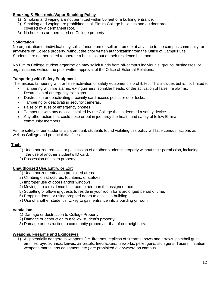#### **Smoking & Electronic/Vapor Smoking Policy**

- 1) Smoking and vaping are not permitted within 50 feet of a building entrance.
- 2) Smoking and vaping are prohibited in all Elmira College buildings and outdoor areas covered by a permanent roof.
- 3) No hookahs are permitted on College property.

#### **Solicitation**

No organization or individual may solicit funds from or sell or promote at any time to the campus community, or anywhere on College property, without the prior written authorization from the Office of Campus Life. Students are not permitted to operate a business out of their residence hall room.

No Elmira College student organization may solicit funds from off-campus individuals, groups, businesses, or organizations without the prior written approval of the Office of External Relations.

#### **Tampering with Safety Equipment**

The misuse, tampering with or false activation of safety equipment is prohibited. This includes but is not limited to:

- Tampering with fire alarms, extinguishers, sprinkler heads, or the activation of false fire alarms. Destruction of emergency exit signs.
- Destruction or deactivating proximity card access points or door locks.
- Tampering or deactivating security cameras.
- False or misuse of emergency phones.
- Tampering with any device installed by the College that is deemed a safety device.
- Any other action that could pose or put in jeopardy the health and safety of fellow Elmira community members.

As the safety of our students is paramount, students found violating this policy will face conduct actions as well as College and potential civil fines.

#### **Theft**

- 1) Unauthorized removal or possession of another student's property without their permission, including the use of another student's ID card.
- 2) Possession of stolen property.

#### **Unauthorized Use, Entry, or Exit**

- 1) Unauthorized entry into prohibited areas.
- 2) Climbing on structures, fountains, or statues.
- 3) Improper use of doors and/or windows.
- 4) Moving into a residence hall room other than the assigned room.
- 5) Squatting or allowing guests to reside in your room for a prolonged period of time.
- 6) Propping doors or using propped doors to access a building
- 7) Use of another student's ID/key to gain entrance into a building or room

#### **Vandalism**

- 1) Damage or destruction to College Property.
- 2) Damage or destruction to a fellow student's property.
- 3) Damage or destruction to community property or that of our neighbors.

#### **Weapons, Firearms and Explosives**

1) All potentially dangerous weapons (i.e. firearms, replicas of firearms, bows and arrows, paintball guns, air rifles, pyrotechnics, knives, air pistols, firecrackers, fireworks, pellet guns, stun guns, Tasers, imitation weapons martial arts equipment, etc.) are prohibited everywhere on campus.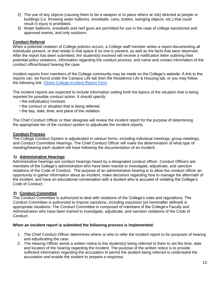- 2) The use of any objects (causing them to be a weapon or to place others at risk) directed at people or buildings (i.e. throwing water balloons, snowballs, cans, bottles, swinging objects, etc.) that could result in injury is prohibited.
- 3) Water balloons, snowballs and nerf guns are permitted for use in the case of college sanctioned and approved events, and only outdoors.

#### **Conduct Referral**

When a potential violation of College policies occurs, a College staff member writes a report documenting all individuals present, or that reside in that space if no one is present, as well as the facts that were observed. After the report has been submitted, the student(s) involved will receive a notification letter outlining their potential policy violations, information regarding the conduct process, and name and contact information of the conduct officer/board hearing the case.

Incident reports from members of the College community may be made on the College's website. A link to the reports can be found under the Campus Life tab then the Residence Life & Housing tab, or you may follow the following link: [Elmira College Incident Report Form](https://cm.maxient.com/reportingform.php?ElmiraCollege&layout_id=1)

The incident reports are expected to include information setting forth the basics of the situation that is being reported for possible conduct action. It should specify:

- the individual(s) involved,
- the conduct or situation that is being referred,
- the day, date, time, and place of the violation.

The Chief Conduct Officer or their designee will review the incident report for the purpose of determining the appropriate tier of the conduct system to adjudicate the incident reports.

#### **Conduct Process**

The College Conduct System is adjudicated in various forms, including individual meetings, group meetings, and Conduct Committee Hearings. The Chief Conduct Officer will make the determination of what type of meeting/hearing each student will have following the documentation of an incident.

#### **1) Administrative Hearings**

Administrative hearings are conduct hearings heard by a designated conduct officer. Conduct Officers are members of the College's administration who have been trained to investigate, adjudicate, and sanction violations of the Code of Conduct. The purpose of an administrative hearing is to allow the conduct officer an opportunity to gather information about an incident, make decisions regarding how to manage the aftermath of the incident, and have an educational conversation with a student who is accused of violating the College's Code of Conduct.

#### **2) Conduct Committee**

The Conduct Committee is authorized to deal with violations of the College's rules and regulations. The Conduct Committee is authorized to impose sanctions, including expulsion (as hereinafter defined) in appropriate situations. The Conduct Committee is composed of members of the College's Faculty and Administration who have been trained to investigate, adjudicate, and sanction violations of the Code of Conduct.

#### **When an incident report is submitted the following process is implemented:**

- 1. The Chief Conduct Officer determines where or who to refer the incident report to for purposes of hearing and adjudicating the case.
- 2. The Hearing Officer sends a written notice to the student(s) being referred to them to set the time, date and location of the hearing regarding the incident. The purpose of the written notice is to provide sufficient information regarding the accusation to permit the student being referred to understand the accusation and enable the student to prepare a response.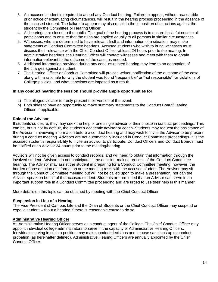- 3. An accused student is required to attend any Conduct hearing. Failure to appear, without reasonable prior notice of extenuating circumstances, will result in the hearing process proceeding in the absence of the accused student. The failure to appear may also result in the imposition of sanctions against the student by the Committee or Hearing Officer.
- 4. All hearings are closed to the public. The goal of the hearing process is to ensure basic fairness to all participants and to ensure that the rules are applied equally to all persons in similar circumstances.
- 5. Witnesses, who are determined to have relevant firsthand information of a situation, may make statements at Conduct Committee hearings. Accused students who wish to bring witnesses must discuss their relevance with the Chief Conduct Officer at least 24 hours prior to the hearing. In administrative hearings, the Hearing Officer will contact witnesses and meet with them to obtain information relevant to the outcome of the case, as needed.
- 6. Additional information provided during any conduct-related hearing may lead to an adaptation of the charges against a student.
- 7. The Hearing Officer or Conduct Committee will provide written notification of the outcome of the case, along with a rationale for why the student was found "responsible" or "not responsible" for violations of College policies, and what sanctions are imposed as a result.

#### **In any conduct hearing the session should provide ample opportunities for:**

- a) The alleged violator to freely present their version of the event.
- b) Both sides to have an opportunity to make summary statements to the Conduct Board/Hearing Officer, if applicable.

#### **Role of the Advisor**

If students so desire, they may seek the help of one single advisor of their choice in conduct proceedings. This can be, but is not by default, the student's academic advisor or coach. Students may request the assistance of the Advisor in reviewing information before a conduct hearing and may wish to invite the Advisor to be present during a conduct meeting. Advisors are not automatically included in Conduct Committee proceedings. It is the accused student's responsibility to invite an advisor to participate. Conduct Officers and Conduct Boards must be notified of an Advisor 24 hours prior to the meeting/hearing.

Advisors will not be given access to conduct records, and will need to obtain that information through the involved student. Advisors do not participate in the decision-making process of the Conduct Committee hearing. The Advisor may assist the student in preparing for a Conduct Committee meeting; however, the burden of presentation of information at the meeting rests with the accused student. The Advisor may sit through the Conduct Committee meeting but will not be called upon to make a presentation, nor can the Advisor speak on behalf of the accused student. Students are reminded that an Advisor can serve in an important support role in a Conduct Committee proceeding and are urged to use their help in this manner.

More details on this topic can be obtained by meeting with the Chief Conduct Officer.

#### **Suspension in Lieu of a Hearing**

The Vice President of Campus Life and the Dean of Students or the Chief Conduct Officer may suspend or expel a student without a hearing if there is reasonable cause to do so.

#### **Administrative Hearing Officer**

An Administrative Hearing Officer serves as a conduct agent of the College. The Chief Conduct Officer may appoint individual college administrators to serve in the capacity of Administrative Hearing Officers. Individuals serving in such a position may make conduct decisions and impose sanctions up to conduct probation (as hereinafter defined). Administrative Hearing Officers are annually appointed by the Chief Conduct Officer.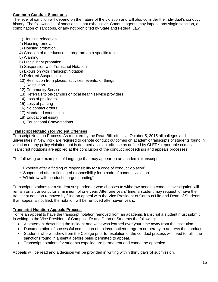#### **Common Conduct Sanctions**

The level of sanction will depend on the nature of the violation and will also consider the individual's conduct history. The following list of sanctions is not exhaustive. Conduct agents may impose any single sanction, a combination of sanctions, or any not prohibited by State and Federal Law.

- 1) Housing relocation
- 2) Housing removal
- 3) Housing probation
- 4) Creation of an educational program on a specific topic
- 5) Warning
- 6) Disciplinary probation
- 7) Suspension with Transcript Notation
- 8) Expulsion with Transcript Notation
- 9) Deferred Suspension
- 10) Restriction from places, activities, events, or things
- 11) Restitution
- 12) Community Service
- 13) Referrals to on-campus or local health service providers
- 14) Loss of privileges
- 15) Loss of parking
- 16) No contact orders
- 17) Mandated counseling
- 18) Educational essay
- 19) Educational Conversations

#### **Transcript Notation for Violent Offenses**

Transcript Notation Process. As required by the Read Bill, effective October 5, 2015 all colleges and universities in New York are required to denote conduct outcomes on academic transcripts of students found in violation of any policy violation that is deemed a violent offense as defined by CLERY reportable crimes. Transcript notations are applied at the conclusion of the conduct proceedings and appeals processes.

The following are examples of language that may appear on an academic transcript:

- "Expelled after a finding of responsibility for a code of conduct violation"
- "Suspended after a finding of responsibility for a code of conduct violation"
- "Withdrew with conduct charges pending"

Transcript notations for a student suspended or who chooses to withdraw pending conduct investigation will remain on a transcript for a minimum of one year. After one years' time, a student may request to have the transcript notation removed by filing an appeal with the Vice President of Campus Life and Dean of Students. If an appeal is not filed, the notation will be removed after seven years.

#### **Transcript Notation Appeals Process**

To file an appeal to have the transcript notation removed from an academic transcript a student must submit in writing to the Vice President of Campus Life and Dean of Students the following:

- A statement describing the incident and what was learned over your time away from the institution.
- Documentation of successful completion of an in/outpatient program or therapy to address the conduct.
- Students who withdrew from the College prior to resolution of the conduct process will need to fulfill the sanctions found in absentia before being permitted to appeal.
- Transcript notations for students expelled are permanent and cannot be appealed.

Appeals will be read and a decision will be provided in writing within thirty days of submission.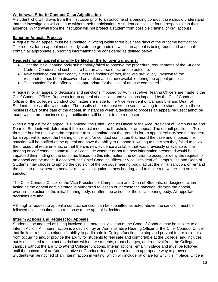#### **Withdrawal Prior to Conduct Case Adjudication**

A student who withdraws from the institution prior to an outcome of a pending conduct case should understand that the investigation will continue without their participation. A student can still be found responsible in their absence. Withdrawal from the institution will not protect a student from possible criminal or civil action(s).

#### **Sanction Appeals Process**

A request for an appeal must be submitted in writing within three business days of the outcome notification. The request for an appeal must clearly state the grounds on which an appeal is being requested and shall contain all appropriate supporting information to be considered as defined below.

#### **Requests for an appeal may only be filed on the following grounds:**

- That the initial hearing body substantially failed to observe the procedural requirements of the Student Code of Conduct and such failure had an adverse effect on the outcome.
- New evidence that significantly alters the findings of fact, that was previously unknown to the respondent, has been discovered or verified and is now available during the appeal process.
- The sanction for the offense is inappropriate for the level of offense committed.

A request for an appeal of decisions and sanctions imposed by Administrative Hearing Officers are made to the Chief Conduct Officer. Requests for an appeal of decisions and sanctions imposed by the Chief Conduct Officer or the College's Conduct Committee are made to the Vice President of Campus Life and Dean of Students, unless otherwise noted. The results of the request will be sent in writing to the student within three business days of the date of the appeal. In instances when a decision to process an appeal request cannot be made within three business days, notification will be sent to the requestor.

When a request for an appeal is submitted, the Chief Conduct Officer or the Vice President of Campus Life and Dean of Students will determine if the request meets the threshold for an appeal. The default position is "No", thus the burden rests with the requestor to substantiate that the grounds for an appeal exist. When the request for an appeal is made, the hearing officer and/or conduct committee that heard the case and imposed the sanction will be notified of the appeal and have the ability to respond in writing to the claim they failed to follow the procedural requirements, or that there is new evidence available that was previously unavailable. The hearing officer/ conduct committee will conclude whether or not the new information presented would have impacted their finding of the outcome. Based on this information, the decision to accept or deny the request for an appeal can be made. If accepted, the Chief Conduct Officer or Vice President of Campus Life and Dean of Students may choose to uphold the decision of the previous hearing body, adjust the initial sanction, or remand the case to a new hearing body for a new investigation, a new hearing, and to make a new decision on the sanction.

The Chief Conduct Officer or the Vice President of Campus Life and Dean of Students, or designee, when acting as the appeal administrator, is authorized to lessen or increase the sanction, dismiss the appeal, overturn the action of the initial hearing body, or affirm the actions of the initial hearing body. All appellate decisions are final.

Although a request to appeal a conduct sanction can be submitted as noted above, the sanction must be followed until such time as a response to the appeal is decided.

#### **Interim Actions and Request for Appeals**

Students documented as being involved in a potential violation of the Code of Conduct may be subject to an Interim Action. An interim action is a decision by an Administrative Hearing Officer or the Chief Conduct Officer that limits or restricts a student's ability to participate in College functions to stop and prevent future incidents from occurring and/or provide the ability for students to feel safe and comfortable at the College, and includes but is not limited to contact restrictions with other students, room changes, and removal from the College campus without the ability to attend College functions. Interim actions remain in place and must be followed until the outcome of an Administrative or Conduct Hearing determines an appropriate way to proceed. Students will be notified of an interim action in writing, which will include rationale for why it is in place. Once a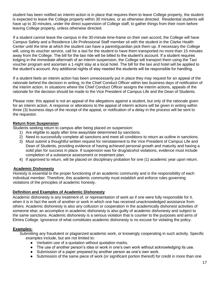student has been notified an interim action is in place that requires them to leave College property, the student is expected to leave the College property within 30 minutes, or as otherwise directed. Residential students will have up to 30 minutes, under the direct supervision of College staff, to gather things from their room before leaving College property, unless otherwise directed.

If a student cannot leave the campus in the 30-minute time-frame on their own accord, the College will have Campus Safety and a Residence Life Professional Staff member sit with the student in the Clarke Health Center until the time at which the student can have a parent/guardian pick them up. If necessary the College will, using its voucher service, call for a taxi for the student to have them transported no more than 15 minutes away from the College. The bill for the taxi ride will be billed to the student's account. If a student requires lodging in the immediate aftermath of an interim suspension, the College will transport them using the Taxi voucher program and ascertain a 1-night stay at a local hotel. The bill for the taxi and hotel will be applied to the student's account. Any additional nights of stay needed the students will be responsible for handling.

If a student feels an interim action has been unnecessarily put in place they may request for an appeal of the rationale behind the decision in writing, to the Chief Conduct Officer within two business days of notification of the interim action. In situations where the Chief Conduct Officer assigns the interim actions, appeals of the rationale for the decision should be made to the Vice President of Campus Life and the Dean of Students.

Please note: this appeal is not an appeal of the allegations against a student, but only of the rationale given for an interim action. A response or alterations to the appeal of interim actions will be given in writing within three (3) business days of the receipt of the appeal, or notification of a delay in the process will be sent to the requestor.

#### **Return from Suspension**

Students seeking return to campus after being placed on suspension:

- 1) Are eligible to apply after time away/date determined by sanctions.
- 2) Need to successfully complete all sanctions and meet all conditions to return as outline in sanctions.
- 3) Must submit a thoughtful written request for reinstatement to the Vice President of Campus Life and Dean of Students, providing evidence of having achieved personal growth and maturity and having a solid plan for success in place. If suspension was for drug/alcohol violations, evidence must include completion of a substance assessment or treatment plan.
- 4) If approved to return, will be placed on disciplinary probation for one (1) academic year upon return.

#### **Academic Dishonesty**

Honesty is essential to the proper functioning of an academic community and is the responsibility of each individual member. Therefore, this academic community must establish and enforce rules governing violations of the principles of academic honesty.

#### **Definition and Examples of Academic Dishonesty**

Academic dishonesty is any treatment of, or representation of work as if one were fully responsible for it, when it is in fact the work of another or work in which one has received unacknowledged assistance from others. Academic dishonesty is also any collusion or cooperation in the academically dishonest activities of someone else; an accomplice in academic dishonesty is also guilty of academic dishonesty and subject to the same sanctions. Academic dishonesty is a serious violation that is counter to the purposes and aims of Elmira College. Ignorance of what constitutes academic dishonesty is no excuse for violating the policy.

#### **Examples:**

Submitting any fraudulent or plagiarized academic work, or knowingly cooperating in such activity. Specific examples include, but are not limited to:

- Verbatim use of a quotation without quotation marks.
- The use of another person's idea or work in one's own work without acknowledging its use.
- Submission of a paper prepared by another person as one's own work.
- Submission of the same piece of work (or significant portion thereof) for credit in more than one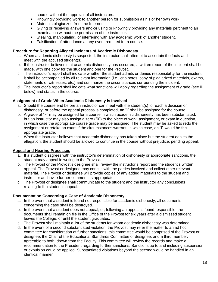course without the approval of all instructors.

- Knowingly providing work to another person for submission as his or her own work.
- Materials plagiarized from the Internet.
- Giving or receiving answers and-or using or knowingly providing any materials pertinent to an examination without the permission of the instructor.
- Stealing, manipulating, or interfering with any academic work of another student.
- Falsification of attendance at any event required for a course.

#### **Procedure for Reporting Alleged Incidents of Academic Dishonesty**

- a. When academic dishonesty is suspected, the instructor shall attempt to ascertain the facts and meet with the accused student(s).
- b. If the instructor believes that academic dishonesty has occurred, a written report of the incident shall be made, with one copy for the student and one for the Provost.
- c. The instructor's report shall indicate whether the student admits or denies responsibility for the incident; it shall be accompanied by all relevant information (i.e., crib notes, copy of plagiarized materials, exams, statements of witnesses, etc.) and summarize the circumstances surrounding the incident.
- d. The instructor's report shall indicate what sanctions will apply regarding the assignment of grade (see III below) and status in the course.

#### **Assignment of Grade When Academic Dishonesty is Involved**

- a. Should the course end before an instructor can meet with the student(s) to reach a decision on dishonesty, or before the appeal process is completed, an "I" shall be assigned for the course.
- b. A grade of "F" may be assigned for a course in which academic dishonesty has been substantiated, but an instructor may also assign a zero ("0") to the piece of work, assignment, or exam in question, in which case the appropriate course grade may be assigned. The student may be asked to redo the assignment or retake an exam if the circumstances warrant, in which case, an "I" would be the appropriate grade.
- c. When the instructor believes that academic dishonesty has taken place but the student denies the allegation, the student should be allowed to continue in the course without prejudice, pending appeal.

#### **Appeal and Hearing Processes**

- a. If a student disagrees with the instructor's determination of dishonesty or appropriate sanctions, the student may appeal in writing to the Provost.
- b. The Provost or the Provost's designee shall review the instructor's report and the student's written appeal. The Provost or designee may consult with the parties involved and collect other relevant material. The Provost or designee will provide copies of any added materials to the student and instructor and invite further comment as appropriate.
- c. The Provost or designee shall communicate to the student and the instructor any conclusions relating to the student's appeal.

#### **Documentation Concerning a Case of Academic Dishonesty**

- a. In the event that a student is found not responsible for academic dishonesty, all documents concerning the case shall be destroyed.
- b. In the event that a student does not appeal, or, following an appeal is found responsible, the documents shall remain on file in the Office of the Provost for six years after a dismissed student leaves the College, or until the student graduates.
- c. The Provost shall maintain a list of the students for whom academic dishonesty was determined.
- d. In the event of a second substantiated violation, the Provost may refer the matter to an ad hoc committee for consideration of further sanctions; this committee would be comprised of the Provost or designee, the Chair of the Educational Standards Committee or designee, and a third member, agreeable to both, drawn from the Faculty. This committee will review the records and make a recommendation to the President regarding further sanctions. Sanctions up to and including suspension or expulsion could be applied. Substantiated violations beyond the second would be handled in an identical manner.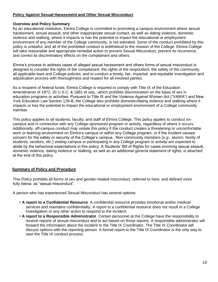#### **Policy Against Sexual Harassment and Other Sexual Misconduct**

#### **Overview and Policy Summary**

As an educational institution, Elmira College is committed to promoting a campus environment where sexual harassment, sexual assault, and other inappropriate sexual contact, as well as dating violence, domestic violence and stalking, where it impacts or has the potential to impact the educational or employment environment of any member of the College community, is not tolerated. Some of the conduct prohibited by this policy is unlawful, and all of the prohibited conduct is antithetical to the mission of the College. Elmira College will take reasonable and appropriate remedial action to prevent Sexual Misconduct, prevent its recurrence, and correct its discriminatory effects on the complainant and others.

Elmira's process to address cases of alleged sexual harassment and others forms of sexual misconduct is designed to consider the rights of the complainant, the rights of the respondent, the safety of the community, all applicable laws and College policies; and to conduct a timely, fair, impartial, and equitable investigation and adjudication process with thoroughness and respect for all involved parties.

As a recipient of federal funds, Elmira College is required to comply with Title IX of the Education Amendments of 1972, 20 U.S.C. & 1681 et seq., which prohibits discrimination on the basis of sex in education programs or activities. Pursuant to Title IX and the Violence Against Women Act ("VAWA") and New York Education Law Section 129-B, the College also prohibits domestic/dating violence and stalking where it impacts or has the potential to impact the educational or employment environment of a College community member.

This policy applies to all students, faculty, and staff of Elmira College. This policy applies to conduct oncampus and in connection with any College-sponsored program or activity, regardless of where it occurs. Additionally, off-campus conduct may violate this policy if the conduct creates a threatening or uncomfortable work or learning environment on Elmira's campus or within any College program, or if the incident causes concern for the safety or security of the College's campus. Non-community members (*e.g.,* alumni, family of students, vendors, etc.) visiting campus or participating in any College program or activity are expected to abide by the behavioral expectations in this policy. A Students' Bill of Rights for cases involving sexual assault, domestic violence, dating violence or stalking, as well as an additional general statement of rights, is attached at the end of this policy.

#### **Summary of Policy and Procedure**

This Policy prohibits all forms of sex and gender-related misconduct, referred to here, and defined more fully below, as "sexual misconduct".

A person who has experienced Sexual Misconduct has several options:

- **A report to a Confidential Resource**. A confidential resource provides emotional and/or medical services and maintains confidentiality. A report to a confidential resource does not result in a College investigation or any other action to respond to the incident.
- **A report to a Responsible Administrator**. Certain personnel at the College have the responsibility to receive reports of sexual misconduct and to act based on those reports. A responsible administrator will forward the information about the incident to the Title IX Coordinator. The Title IX Coordinator will discuss options with the reporting person. A formal report to the Title IX Coordinator is the only way to start the Title IX conduct process.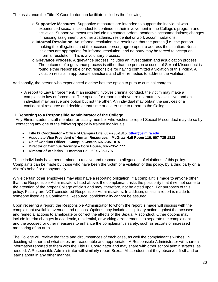The assistance the Title IX Coordinator can facilitate includes the following:

- o **Supportive Measures**. Supportive measures are intended to support the individual who experienced sexual misconduct to continue in their involvement in the College's program and activities. Supportive measures include no contact orders; academic accommodations; changes in housing assignment; or other academic, residential or work accommodations.
- o **Informal Resolution**. An informal resolution is a resolution that the parties (i.e., the person making the allegations and the accused person) agree upon to address the situation. Not all incidents are appropriate for informal resolution, and no party may be forced to accept an informal resolution. This is a voluntary process.
- o **Grievance Process**. A grievance process includes an investigation and adjudication process. The outcome of a grievance process is either that the person accused of Sexual Misconduct is found either responsible or not responsible for having committed a violation of this Policy. A violation results in appropriate sanctions and other remedies to address the violation.

Additionally, the person who experienced a crime has the option to pursue criminal charges:

• A report to Law Enforcement. If an incident involves criminal conduct, the victim may make a complaint to law enforcement. The options for reporting above are not mutually exclusive, and an individual may pursue one option but not the other. An individual may obtain the services of a confidential resource and decide at that time or a later time to report to the College.

#### I. **Reporting to a Responsible Administrator of the College**

Any Elmira student, staff member, or faculty member who wishes to report Sexual Misconduct may do so by contacting any one of the following specially trained individuals:

- **Title IX Coordinator – Office of Campus Life, 607-735-1815, [titleix@elmira.edu](mailto:titleix@elmira.edu)**
- **Associate Vice President of Human Resources – McGraw Hall Room 116, 607-735-1812**
- **Chief Conduct Officer – Campus Center, 607-735-1815**
- **Director of Campus Security – Cory House, 607-735-1777**
- **Director of Athletics – Emerson Hall, 607-735-1797**

These individuals have been trained to receive and respond to allegations of violations of this policy. Complaints can be made by those who have been the victim of a violation of this policy, by a third party on a victim's behalf or anonymously.

While certain other employees may also have a reporting obligation, if a complaint is made to anyone other than the Responsible Administrators listed above, the complainant risks the possibility that it will not come to the attention of the proper College officials and may, therefore, not be acted upon. For purposes of this policy, Faculty are NOT considered Responsible Administrators. In addition, unless a report is made to someone listed as a Confidential Resource, confidentiality cannot be assured.

Upon receiving a report, the Responsible Administrator to whom the report is made will discuss with the complainant available avenues and options. Options may include disciplinary action against the accused and remedial actions to ameliorate or correct the effects of the Sexual Misconduct. Other options may include interim changes in academic, residential, or working arrangements to separate the complainant and the accused or other measures to enhance the complainant's safety, such as escorts or increased monitoring of an area.

The College will review the facts and circumstances of each case, as well the complainant's wishes, in deciding whether and what steps are reasonable and appropriate. A Responsible Administrator will share all information reported to them with the Title IX Coordinator and may share with other school administrators, as needed. A Responsible Administrator will similarly report Sexual Misconduct that they observed firsthand or learns about in any other manner.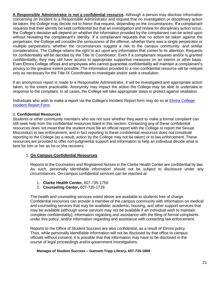**A Responsible Administrator is not a confidential resource.** Although a person may disclose information concerning an incident to a Responsible Administrator and request that no investigation or disciplinary action be taken, the College may decide not to honor that request, depending on the circumstances. If a complainant requests that their identity be kept confidential but that an investigation and review for disciplinary action occur, the College's decision will depend on whether the information provided by the complainant can be acted upon without revealing the complainant's identity. If a complainant requests that no action be taken against the perpetrator, the College will consider the seriousness of the offense, whether there was a single perpetrator or multiple perpetrators, whether the circumstances suggest a risk to the campus community, and similar considerations. The College retains the right to act upon any information that comes to its attention. Requests for confidentiality will be decided by the Title IX Coordinator. Even if a complainant requests and/or is granted confidentiality, they may still have access to appropriate supportive measures on an interim or other basis. Even Elmira College offices and employees who cannot guarantee confidentiality will maintain a complainant's privacy to the greatest extent possible. The information provided to a non-confidential resource will be relayed only as necessary for the Title IX Coordinator to investigate and/or seek a resolution.

If an anonymous report is made to a Responsible Administrator, it will be investigated and appropriate action taken, to the extent practicable. Anonymity may impact the action the College may be able to undertake in response to the complaint. In all cases, the College will take appropriate steps to protect against retaliation.

Individuals who wish to make a report via the College's Incident Report form may do so at Elmira College Incident Report Form

#### II. **Confidential Resources**

Students or other community members who are not sure whether they want to make a formal complaint can still seek help from the confidential resources listed in this section. Contacting any of these confidential resources does not mean that the student must file an official report with the College or report the Sexual Misconduct to law enforcement, and in fact reporting to these confidential resources does not constitute reporting to the College (as a result, action by the College may not be taken) or to law enforcement. These resources are provided to offer non-judgmental support and information to help an individual decide what is best for him or her as he or she recovers.

#### 1. **On Campus Confidential Resources**

Reports to the Counselors and Registered Nurses in the Clarke Health Center are confidential by law. As such, personally identifiable information should not be subject to disclosure under any circumstances. On-campus confidential services can be reached at:

- 1. **Clarke Health Center,** 607-735-1750
- 2. **Counseling Center,** 607-735-1729

The health and counseling services noted above are available to students free of charge. Confidential resources can provide a member of the campus community with information on medical and counseling services that may be available; academic, housing, and other support services that may be available (although some services may not be available if an individual wish to maintain complete confidentiality); information regarding and assistance with the filing of formal complaints under this policy; and/or information regarding and assistance with contacting law enforcement.

Reports to the Office of Student Success are also confidential, as a result of Elmira policy. Thus, while personally identifiable information will not be disclosed by that office to campus officials without consent, it is possible that that information may have to be disclosed in the course of legal proceedings and/or government investigations.

#### **Manager of Student Success – Gannett-Tripp Library, 607-735-1808**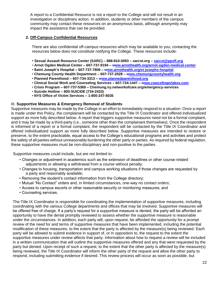A report to a Confidential Resource is not a report to the College and will not result in an investigation or disciplinary action. In addition, students or other members of the campus community may contact these resources on an anonymous basis, although anonymity may impact the assistance that can be provided.

#### **2. Off-Campus Confidential Resources**

There are also confidential off-campus resources which may be available to you; contacting the resources below does not constitute notifying the College. These resources include:

- **Sexual Assault Resource Center (SARC) – 888-810-0093 – sarcst.org – sarcst@ppsfl.org**
- **Arnot Ogden Medical Center – 607-737-9194 – www.arnothealth.org/arnot-ogden-medical-center**
- **Saint Joseph's Hospital – 607-737-7806 – www.arnothealth.org/st-josephs-hospital**
- **Chemung County Health Department – 607-737-2028 – www.chemungcountyhealth.org**
- **Planned Parenthood – 607-734-3313 – www.plannedparenthood.org**
- **Clinical Social Work and Counseling Services – 607-734-1447 – www.cswcsfingerlakes.com**
- **Crisis Program – 607-737-5369 – Chemung.ny.networkofcare.org/emergency-services**
- **Suicide Hotline – 800-SUICIDE (734-2433)**
- **NYS Office of Victim Services – 1-800-247-8035**

#### III. **Supportive Measures & Emergency Removal of Students**

Supportive measures may be made by the College in an effort to immediately respond to a situation. Once a report is made under this Policy, the complainant will be contacted by the Title IX Coordinator and offered individualized support as more fully described below. A report that triggers supportive measures need not be a formal complaint, and it may be made by a third-party (i.e., someone other than the complainant themselves). Once the respondent is informed of a report or a formal complaint, the respondent will be contacted by the Title IX Coordinator and offered individualized support as more fully described below. Supportive measures are intended to restore or preserve, to the extent practicable, equal access to the College's educational programs and activities and protect the safety of all parties without unreasonably burdening the other party or parties. As required by federal regulation, these supportive measures must be non-disciplinary and non-punitive to the parties.

Supportive measures could include, but are not limited to:

- Changes or adjustment in academics such as the extension of deadlines or other course-related adjustments or allowing a withdrawal from a course without penalty;
- Changes to housing, transportation and campus working situations if those changes are requested by a party and reasonably available;
- Removing the student's contact information from the College directory;
- Mutual "No Contact" orders and, in limited circumstances, one-way no contact orders;
- Access to campus escorts or other reasonable security or monitoring measures; and
- Counseling services.

The Title IX Coordinator is responsible for coordinating the implementation of supportive measures, including coordinating with the various College departments and offices that may be involved. Supportive measures will be offered free of charge. If a party's request for a supportive measure is denied, the party will be afforded an opportunity to have the denial promptly reviewed to assess whether the supportive measure is reasonable under the circumstances. In addition, each party will, upon request, be afforded the opportunity for a prompt review of the need for and terms of supportive measures that have been implemented, including the potential modification of these measures, to the extent that the party is affected by the measure(s) being reviewed. Each party will be allowed to submit evidence in support of, or in opposition to, the request to the extent the supportive measures under review affects that party. Information about how to request a review will be included in a written communication that will outline the supportive measures offered and any that were requested by the party but denied. Upon receipt of such a request, to the extent that the other party is affected by the measure(s) being reviewed, the Title IX Coordinator will inform the other party of the request and allow the other party to respond, including submitting evidence if desired. This review process will occur as soon as possible, but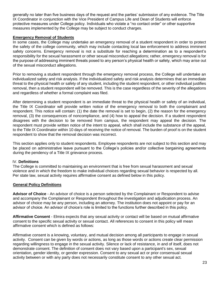generally no later than five business days of the request and the parties' submission of any evidence. The Title IX Coordinator in conjunction with the Vice President of Campus Life and Dean of Students will enforce protective measures under College policy. Individuals who violate a "no contact order" or other supportive measures implemented by the College may be subject to conduct charges.

#### **Emergency Removal of Students**

In some cases, the College may undertake an emergency removal of a student respondent in order to protect the safety of the college community, which may include contacting local law enforcement to address imminent safety concerns. Emergency removal is not a substitute for reaching a determination as to a respondent's responsibility for the sexual harassment or other sexual misconduct allegations; rather, emergency removal is for the purpose of addressing imminent threats posed to any person's physical health or safety, which may arise out of the sexual misconduct allegations.

Prior to removing a student respondent through the emergency removal process, the College will undertake an individualized safety and risk analysis. If the individualized safety and risk analysis determines that an immediate threat to the physical health or safety of any student, including the student respondent, or other individual justifies removal, then a student respondent will be removed. This is the case regardless of the severity of the allegations and regardless of whether a formal complaint was filed.

After determining a student respondent is an immediate threat to the physical health or safety of an individual, the Title IX Coordinator will provide written notice of the emergency removal to both the complainant and respondent. This notice will contain: (1) the date the removal is set to begin, (2) the reason for the emergency removal, (3) the consequences of noncompliance, and (4) how to appeal the decision. If a student respondent disagrees with the decision to be removed from campus, the respondent may appeal the decision. The respondent must provide written notice of the intent to appeal, which shall include the substance of the appeal, to the Title IX Coordinator within 10 days of receiving the notice of removal. The burden of proof is on the student respondent to show that the removal decision was incorrect.

This section applies only to student respondents. Employee respondents are not subject to this section and may be placed on administrative leave pursuant to the College's policies and/or collective bargaining agreements during the pendency of a Title IX grievance process.

#### IV. **Definitions**

The College is committed to maintaining an environment that is free from sexual harassment and sexual violence and in which the freedom to make individual choices regarding sexual behavior is respected by all. Per state law, sexual activity requires affirmative consent as defined below in this policy.

#### **General Policy Definitions**

**Advisor of Choice** - An advisor of choice is a person selected by the Complainant or Respondent to advise and accompany the Complainant or Respondent throughout the investigation and adjudication process. An advisor of choice may be any person, including an attorney. The institution does not appoint or pay for an advisor of choice. An advisor of choice's role is limited to the functions further described in this policy.

**Affirmative Consent** - Elmira expects that any sexual activity or contact will be based on mutual affirmative consent to the specific sexual activity or sexual contact. All references to consent in this policy will mean affirmative consent which is defined as follows:

Affirmative consent is a knowing, voluntary, and mutual decision among all participants to engage in sexual activity. Consent can be given by words or actions, as long as those words or actions create clear permission regarding willingness to engage in the sexual activity. Silence or lack of resistance, in and of itself, does not demonstrate consent. The definition of consent does not vary based upon a participant's sex, sexual orientation, gender identity, or gender expression. Consent to any sexual act or prior consensual sexual activity between or with any party does not necessarily constitute consent to any other sexual act.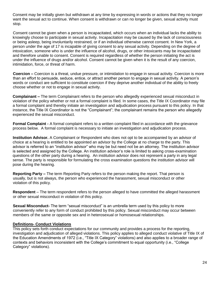Consent may be initially given but withdrawn at any time by expressing in words or actions that they no longer want the sexual act to continue. When consent is withdrawn or can no longer be given, sexual activity must stop.

Consent cannot be given when a person is incapacitated, which occurs when an individual lacks the ability to knowingly choose to participate in sexual activity. Incapacitation may be caused by the lack of consciousness or being asleep, being involuntarily restrained, or if an individual otherwise cannot consent. In New York, a person under the age of 17 is incapable of giving consent to any sexual activity. Depending on the degree of intoxication, someone who is under the influence of alcohol, drugs, or other intoxicants may be incapacitated and therefore unable to consent. Consent is required regardless of whether the person initiating the act is under the influence of drugs and/or alcohol. Consent cannot be given when it is the result of any coercion, intimidation, force, or threat of harm.

**Coercion –** Coercion is a threat, undue pressure, or intimidation to engage in sexual activity. Coercion is more than an effort to persuade, seduce, entice, or attract another person to engage in sexual activity. A person's words or conduct are sufficient to constitute coercion if they deprive another individual of the ability to freely choose whether or not to engage in sexual activity.

**Complainant –** The term Complainant refers to the person who allegedly experienced sexual misconduct in violation of the policy whether or not a formal complaint is filed. In some cases, the Title IX Coordinator may file a formal complaint and thereby initiate an investigation and adjudication process pursuant to this policy. In that instance, the Title IX Coordinator is not the "Complainant"; the complainant remains the person who allegedly experienced the sexual misconduct.

**Formal Complaint -** A formal complaint refers to a written complaint filed in accordance with the grievance process below. A formal complaint is necessary to initiate an investigation and adjudication process.

**Institution Advisor.** A Complainant or Respondent who does not opt to be accompanied by an advisor of choice at a hearing is entitled to be appointed an advisor by the College at no charge to the party. This advisor is referred to an "institution advisor" who may be but need not be an attorney. The institution advisor is selected and assigned by the College. An institution advisor's role is limited to asking cross-examination questions of the other party during a hearing. An institution advisor does not represent a party in any legal sense. The party is responsible for formulating the cross examination questions the institution advisor will pose during the hearing.

**Reporting Party –** The term Reporting Party refers to the person making the report. That person is usually, but is not always, the person who experienced the harassment, sexual misconduct or other violation of this policy.

**Respondent** – The term respondent refers to the person alleged to have committed the alleged harassment or other sexual misconduct in violation of this policy.

**Sexual Misconduct-** The term "sexual misconduct" is an umbrella term used by this policy to more conveniently refer to any form of conduct prohibited by this policy. Sexual misconduct may occur between members of the same or opposite sex and in heterosexual or homosexual relationships.

#### **Definitions- Conduct Violations**

This policy sets forth conduct expectations for our community and provides a process for the reporting, investigation and adjudication of alleged violations. This policy applies to alleged conduct violative of Title IX of the Education Amendments of 1972 (i.e., "Title IX Category" violations) and also applies to a broader range of contexts and behaviors inconsistent with the College's commitment to equal opportunity (i.e., "College Category" violations).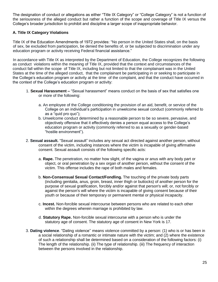The designation of conduct or allegations as either "Title IX Category" or "College Category" is not a function of the seriousness of the alleged conduct but rather a function of the scope and coverage of Title IX versus the College's broader jurisdiction to prohibit and discipline a larger scope of inappropriate behavior.

#### **A. Title IX Category Violations**

Title IX of the Education Amendments of 1972 provides: "No person in the United States shall, on the basis of sex, be excluded from participation, be denied the benefits of, or be subjected to discrimination under any education program or activity receiving Federal financial assistance."

In accordance with Title IX as interpreted by the Department of Education, the College recognizes the following as conduct violations within the meaning of Title IX, provided that the context and circumstances of the conduct fall within the scope of Title IX, including but not limited to that the complainant was in the United States at the time of the alleged conduct, that the complainant be participating in or seeking to participate in the College's education program or activity at the time of the complaint, and that the conduct have occurred in the context of the College's education program or activity:

- 1. **Sexual Harassment –** "Sexual harassment" means conduct on the basis of sex that satisfies one or more of the following:
	- a. An employee of the College conditioning the provision of an aid, benefit, or service of the College on an individual's participation in unwelcome sexual conduct (commonly referred to as a "quid pro quo");
	- b. Unwelcome conduct determined by a reasonable person to be so severe, pervasive, and objectively offensive that it effectively denies a person equal access to the College's education program or activity (commonly referred to as a sexually or gender-based "hostile environment").
- 2. **Sexual assault.** "Sexual assault" includes any sexual act directed against another person, without consent of the victim, including instances where the victim is incapable of giving affirmative consent. Sexual assault consists of the following specific acts:
	- a. **Rape.** The penetration, no matter how slight, of the vagina or anus with any body part or object, or oral penetration by a sex organ of another person, without the consent of the victim. This offense includes the rape of both males and females.
	- b. **Non-Consensual Sexual Contact/Fondling.** The touching of the private body parts (including genitalia, anus, groin, breast, inner thigh or buttocks) of another person for the purpose of sexual gratification, forcibly and/or against that person's will; or, not forcibly or against the person's will where the victim is incapable of giving consent because of their youth or because of their temporary or permanent mental or physical incapacity.
	- c. **Incest.** Non-forcible sexual intercourse between persons who are related to each other within the degrees wherein marriage is prohibited by law.
	- d. **Statutory Rape.** Non-forcible sexual intercourse with a person who is under the statutory age of consent. The statutory age of consent in New York is 17.
- 3. **Dating violence**. "Dating violence'' means violence committed by a person: (1) who is or has been in a social relationship of a romantic or intimate nature with the victim; and (2) where the existence of such a relationship shall be determined based on a consideration of the following factors: (i) The length of the relationship. (ii) The type of relationship. (iii) The frequency of interaction between the persons involved in the relationship.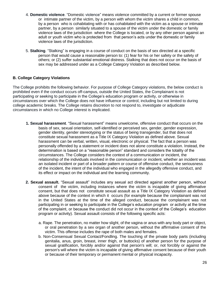- 4. **Domestic violence**. "Domestic violence" means violence committed by a current or former spouse or intimate partner of the victim, by a person with whom the victim shares a child in common, by a person who is cohabitating with or has cohabitated with the victim as a spouse or intimate partner, by a person similarly situated to a spouse of the victim under the domestic or family violence laws of the jurisdiction where the College is located, or by any other person against an adult or youth victim who is protected from that person's acts under the domestic or family violence laws of the jurisdiction.
- 5. **Stalking**. "Stalking" is engaging in a course of conduct on the basis of sex directed at a specific person that would cause a reasonable person to: (1) fear for his or her safety or the safety of others; or (2) suffer substantial emotional distress. Stalking that does not occur on the basis of sex may be addressed under as a College Category Violation as described below.

#### **B. College Category Violations**

The College prohibits the following behavior. For purpose of College Category violations, the below conduct is prohibited even if the conduct occurs off-campus, outside the United States, the Complainant is not participating or seeking to participate in the College's education program or activity, or otherwise in circumstances over which the College does not have influence or control, including but not limited to during college academic breaks. The College retains discretion to not respond to, investigate or adjudicate circumstances in which no College interest is implicated.

- **1. Sexual harassment**. "Sexual harassment" means unwelcome, offensive conduct that occurs on the basis of sex, sexual orientation, self-identified or perceived sex, gender, gender expression, gender identity, gender stereotyping or the status of being transgender, but that does not constitute sexual harassment as a Title IX Category Violation as defined above. Sexual harassment can be verbal, written, visual, electronic or physical. The fact that a person was personally offended by a statement or incident does not alone constitute a violation. Instead, the determination is based on a "reasonable person" standard and considers the totality of the circumstances. The College considers the context of a communication or incident, the relationship of the individuals involved in the communication or incident, whether an incident was an isolated incident or part of a broader pattern or course of offensive conduct, the seriousness of the incident, the intent of the individual who engaged in the allegedly offensive conduct, and its effect or impact on the individual and the learning community.
- **2. Sexual assault.** "Sexual assault" includes any sexual act directed against another person, without consent of the victim, including instances where the victim is incapable of giving affirmative consent, but that does not constitute sexual assault as a Title IX Category Violation as defined above because of the context in which it occurs (for example because the complainant was not in the United States at the time of the alleged conduct, because the complainant was not participating in or seeking to participate in the College's education program or activity at the time of the complaint, or because the conduct did not occur in the context of the College's education program or activity). Sexual assault consists of the following specific acts:
	- a. Rape. The penetration, no matter how slight, of the vagina or anus with any body part or object, or oral penetration by a sex organ of another person, without the affirmative consent of the victim. This offense includes the rape of both males and females.
	- b. Non-Consensual Sexual Contact/Fondling. The touching of the private body parts (including genitalia, anus, groin, breast, inner thigh, or buttocks) of another person for the purpose of sexual gratification, forcibly and/or against that person's will; or, not forcibly or against the person's will where the victim is incapable of giving affirmative consent because of their youth or because of their temporary or permanent mental or physical incapacity.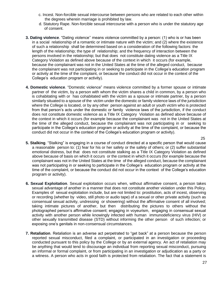- c. Incest. Non-forcible sexual intercourse between persons who are related to each other within the degrees wherein marriage is prohibited by law.
- d. Statutory Rape. Non-forcible sexual intercourse with a person who is under the statutory age of consent.
- **3. Dating violence**. "Dating violence'' means violence committed by a person: (1) who is or has been in a social relationship of a romantic or intimate nature with the victim; and (2) where the existence of such a relationship shall be determined based on a consideration of the following factors: the length of the relationship; the type of relationship; and the frequency of interaction between the persons involved in the relationship; but that does not constitute dating violence as a Title IX Category Violation as defined above because of the context in which it occurs (for example, because the complainant was not in the United States at the time of the alleged conduct, because the complainant was not participating in or seeking to participate in the College's education program or activity at the time of the complaint, or because the conduct did not occur in the context of the College's education program or activity).
- **4. Domestic violence**. "Domestic violence" means violence committed by a former spouse or intimate partner of the victim, by a person with whom the victim shares a child in common, by a person who is cohabitating with or has cohabitated with the victim as a spouse or intimate partner, by a person similarly situated to a spouse of the victim under the domestic or family violence laws of the jurisdiction where the College is located, or by any other person against an adult or youth victim who is protected from that person's acts under the domestic or family violence laws of the jurisdiction, if the conduct does not constitute domestic violence as a Title IX Category Violation as defined above because of the context in which it occurs (for example because the complainant was not in the United States at the time of the alleged conduct, because the complainant was not participating in or seeking to participate in the College's education program or activity at the time of the complaint, or because the conduct did not occur in the context of the College's education program or activity).
- **5. Stalking**. "Stalking" is engaging in a course of conduct directed at a specific person that would cause a reasonable person to: (1) fear for his or her safety or the safety of others; or (2) suffer substantial emotional distress, but that does not constitute stalking as a Title IX Category Violation as defined above because of basis on which it occurs or the context in which it occurs (for example because the complainant was not in the United States at the time of the alleged conduct, because the complainant was not participating in or seeking to participate in the College's education program or activity at the time of the complaint, or because the conduct did not occur in the context of the College's education program or activity).
- **6. Sexual Exploitation**. Sexual exploitation occurs when, without affirmative consent, a person takes sexual advantage of another in a manner that does not constitute another violation under this Policy. Examples of sexual exploitation include, but are not limited to: prostitution, acts of incest, observing or recording (whether by video, still photo or audio tape) of a sexual or other private activity (such as consensual sexual activity, undressing or showering) without the affirmative consent of all involved; taking intimate pictures of another, but then distributing the pictures to others without the photographed person's affirmative consent; engaging in voyeurism, engaging in consensual sexual activity with another person while knowingly infected with human immunodeficiency virus (HIV) or other sexually transmitted disease (STD) without informing the other person of such infection; or exposing one's genitals in non-consensual circumstances.
- **7. Retaliation**. Retaliation is an adverse act perpetrated to "get back" at a person because the person reported sexual misconduct, filed a complaint, or participated in an investigation or proceeding conducted pursuant to this policy by the College or by an external agency. An act of retaliation may be anything that would tend to discourage an individual from reporting sexual misconduct, pursuing an informal or formal complaint, or from participating in an investigation or adjudication as a party or a witness. A person who acts in good faith is protected from retaliation. The fact that a statement is

25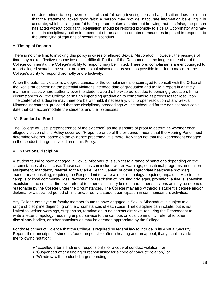not determined to be proven or established following investigation and adjudication does not mean that the statement lacked good-faith; a person may provide inaccurate information believing it is accurate, which is still good-faith. If a person makes a statement knowing that it is false, the person has acted without good faith. Retaliation should be reported promptly to Title IX Coordinator and may result in disciplinary action independent of the sanction or interim measures imposed in response to the underlying allegations of sexual misconduct

#### V. **Timing of Reports**

There is no time limit to invoking this policy in cases of alleged Sexual Misconduct. However, the passage of time may make effective responsive action difficult. Further, if the Respondent is no longer a member of the College community, the College's ability to respond may be limited. Therefore, complainants are encouraged to report alleged sexual harassment or other sexual misconduct as soon as possible in order to maximize the College's ability to respond promptly and effectively.

When the potential violator is a degree candidate, the complainant is encouraged to consult with the Office of the Registrar concerning the potential violator's intended date of graduation and to file a report in a timely manner in cases where authority over the student would otherwise be lost due to pending graduation. In no circumstances will the College permit an impending graduation to compromise its processes for resolution. The conferral of a degree may therefore be withheld, if necessary, until proper resolution of any Sexual Misconduct charges, provided that any disciplinary proceedings will be scheduled for the earliest practicable date that can accommodate the students and their witnesses.

#### VI. **Standard of Proof**

The College will use "preponderance of the evidence" as the standard of proof to determine whether each alleged violation of this Policy occurred. "Preponderance of the evidence" means that the Hearing Panel must determine whether, based on the evidence presented, it is more likely than not that the Respondent engaged in the conduct charged in violation of this Policy.

#### VII. **Sanctions/Discipline**

A student found to have engaged in Sexual Misconduct is subject to a range of sanctions depending on the circumstances of each case. Those sanctions can include written warnings, educational programs, education assignment, mandatory referral to the Clarke Health Center (or other appropriate healthcare provider), mandatory counseling, requiring the Respondent to write a letter of apology, requiring unpaid service to the campus or local community, loss, revocation or restriction of housing privileges, probation, a fine, suspension, expulsion, a no contact directive, referral to other disciplinary bodies, and other sanctions as may be deemed reasonable by the College under the circumstances. The College may also withhold a student's degree and/or diploma for a specified period of time and/or deny a student participation in commencement activities.

Any College employee or faculty member found to have engaged in Sexual Misconduct is subject to a range of discipline depending on the circumstances of each case. That discipline can include, but is not limited to, written warnings, suspension, termination, a no contact directive, requiring the Respondent to write a letter of apology, requiring unpaid service to the campus or local community, referral to other disciplinary bodies, or other sanctions as may be deemed appropriate by the College.

For those crimes of violence that the College is required by federal law to include in its Annual Security Report, the transcripts of students found responsible after a hearing and an appeal, if any, shall include the following notation:

- "Expelled after a finding of responsibility for a code of conduct violation," or
- "Suspended after a finding of responsibility for a code of conduct violation," or
- "Withdrew with conduct charges pending"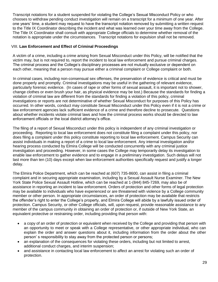Transcript notations for a student suspended for violating the College's Sexual Misconduct Policy or who chooses to withdraw pending conduct investigation will remain on a transcript for a minimum of one year. After one years' time, a student may request to have the transcript notation removed by submitting a written request to the Title IX Coordinator describing the incident and what was learned over your time away from the College. The Title IX Coordinator shall consult with appropriate College officials to determine whether removal of the notation is appropriate under the circumstances. Transcript notations for expulsion shall not be removed.

#### VIII. **Law Enforcement and Effect of Criminal Proceedings**

A victim of a crime, including a crime arising from Sexual Misconduct under this Policy, will be notified that the victim may, but is not required to, report the incident to local law enforcement and pursue criminal charges. The criminal process and the College's disciplinary processes are not mutually exclusive or dependent on each other, meaning that a person may pursue either a criminal complaint or College complaint or both.

In criminal cases, including non-consensual sex offenses, the preservation of evidence is critical and must be done properly and promptly. Criminal investigations may be useful in the gathering of relevant evidence, particularly forensic evidence. (In cases of rape or other forms of sexual assault, it is important not to shower, change clothes or even brush your hair, as physical evidence may be lost.) Because the standards for finding a violation of criminal law are different from the standards for finding a violation of this policy, criminal investigations or reports are not determinative of whether Sexual Misconduct for purposes of this Policy has occurred. In other words, conduct may constitute Sexual Misconduct under this Policy even if it is not a crime or law enforcement agencies lack sufficient evidence of a crime and therefore decline to prosecute. Questions about whether incidents violate criminal laws and how the criminal process works should be directed to law enforcement officials or the local district attorney's office.

The filing of a report of Sexual Misconduct under this policy is independent of any criminal investigation or proceeding. Reporting to local law enforcement does not constitute filing a complaint under this policy, nor does filing a complaint under this policy constitute reporting to local law enforcement. Campus Security can assist individuals in making a report of a crime to local law enforcement. Any internal investigation and/or hearing process conducted by Elmira College will be conducted concurrently with any criminal justice investigation and proceeding. However, in some cases the College may temporarily delay its investigation to enable law enforcement to gather evidence and to engage in a preliminary investigation. Such delays will not last more than ten (10) days except when law enforcement authorities specifically request and justify a longer delay.

The Elmira Police Department, which can be reached at (607) 735-8600, can assist in filing a criminal complaint and in securing appropriate examination, including by a Sexual Assault Nurse Examiner. The New York State Police Sexual Assault Hotline, which can be reached at 1-(844) 845-7269, may also be of assistance in reporting an incident to law enforcement. Orders of protection and other forms of legal protection may be available to individuals who have experienced or are threatened with violence by a College community member or other person. In appropriate circumstances, an order of protection may be available that restricts the offender's right to enter the College's property, and Elmira College will abide by a lawfully issued order of protection. Campus Security, or other College officials, will, upon request, provide reasonable assistance to any member of the campus community in obtaining an order of protection or, if outside of New York State, an equivalent protective or restraining order, including providing that person with:

- a copy of an order of protection or equivalent when received by the College and providing that person with an opportunity to meet or speak with a College representative, or other appropriate individual, who can explain the order and answer questions about it, including information from the order about the other person' s responsibility to stay away from the protected person or persons;
- an explanation of the consequences for violating these orders, including but not limited to arrest, additional conduct charges, and interim suspension;
- and assistance in contacting local law enforcement to affect an arrest for violating such an order of protection.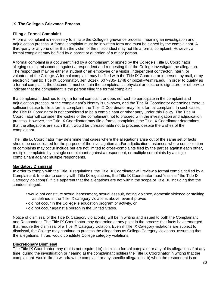#### IX. **The College's Grievance Process**

#### **Filing a Formal Complaint**

A formal complaint is necessary to initiate the College's grievance process, meaning an investigation and adjudication process. A formal complaint must be in written form and must be signed by the complainant. A third-party or anyone other than the victim of the misconduct may not file a formal complaint. However, a formal complaint may be filed by a parent or guardian of a minor person.

A formal complaint is a document filed by a complainant or signed by the College's Title IX Coordinator alleging sexual misconduct against a respondent and requesting that the College investigate the allegation. The respondent may be either a student or an employee or a visitor, independent contractor, intern, or volunteer of the College. A formal complaint may be filed with the Title IX Coordinator in person, by mail, or by electronic mail to: Title IX Coordinator, Jen Bozek, 607-735- 1748 or jbozek@elmira.edu. In order to qualify as a formal complaint, the document must contain the complainant's physical or electronic signature, or otherwise indicate that the complainant is the person filing the formal complaint.

If a complainant declines to sign a formal complaint or does not wish to participate in the complaint and adjudication process, or the complainant's identity is unknown, and the Title IX Coordinator determines there is sufficient cause to file a formal complaint, the Title IX Coordinator may file a formal complaint. In such cases, the Title IX Coordinator is not considered to be a complainant or other party under this Policy. The Title IX Coordinator will consider the wishes of the complainant not to proceed with the investigation and adjudication process. However, the Title IX Coordinator may file a formal complaint if the Title IX Coordinator determines that the allegations are such that it would be unreasonable not to proceed despite the wishes of the complainant.

The Title IX Coordinator may determine that cases where the allegations arise out of the same set of facts should be consolidated for the purpose of the investigation and/or adjudication. Instances where consolidation of complaints may occur include but are not limited to cross-complaints filed by the parties against each other, multiple complaints by a single complainant against a respondent, or multiple complaints by a single complainant against multiple respondents.

#### **Mandatory Dismissal**

In order to comply with the Title IX regulations, the Title IX Coordinator will review a formal complaint filed by a Complainant. In order to comply with Title IX regulations, the Title IX Coordinator must "dismiss" the Title IX Category violation(s) if it is apparent that the allegations are not within the scope of Title IX, including that the conduct alleged:

- would not constitute sexual harassment, sexual assault, dating violence, domestic violence or stalking as defined in the Title IX category violations above, even if proved,
- did not occur in the College' s education program or activity, or
- did not occur against a person in the United States.

Notice of dismissal of the Title IX Category violation(s) will be in writing and issued to both the Complainant and Respondent. The Title IX Coordinator may determine at any point in the process that facts have emerged that require the dismissal of a Title IX Category violation. Even if Title IX Category violations are subject to dismissal, the College may continue to process the allegations as College Category violations. assuming that the allegations, if true, would constitute College category violations.

#### **Discretionary Dismissal**

The Title IX Coordinator may (but is not required to) dismiss a formal complaint or any of its allegations if at any time during the investigation or hearing a) the complainant notifies the Title IX Coordinator in writing that the complainant would like to withdraw the complaint or any specific allegations; b) when the respondent is no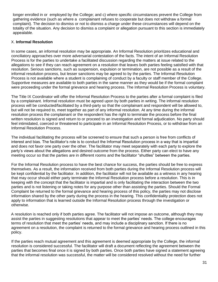longer enrolled in or employed by the College; and c) where specific circumstances prevent the College from gathering evidence (such as where a complainant refuses to cooperate but does not withdraw a formal complaint). The decision to dismiss or not to dismiss a charge under these circumstances will depend on the totality of the situation. Any decision to dismiss a complaint or allegation pursuant to this section is immediately appealable.

#### X. **Informal Resolution**

In some cases, an informal resolution may be appropriate. An Informal Resolution prioritizes educational and conciliatory approaches over more adversarial contestation of the facts. The intent of an Informal Resolution Process is for the parties to undertake a facilitated discussion regarding the matters at issue related to the allegations to see if they can reach agreement on a resolution that leaves both parties feeling satisfied with that resolution. Serious sanctions, such as suspension, expulsion or termination, are not possible as a result of the informal resolution process, but lesser sanctions may be agreed to by the parties. The Informal Resolution Process is not available where a student is complaining of conduct by a faculty or staff member of the College. Supportive measures are available to both parties in the same manner as they would be if the formal complaint were proceeding under the formal grievance and hearing process. The Informal Resolution Process is voluntary.

The Title IX Coordinator will offer the Informal Resolution Process to the parties after a formal complaint is filed by a complainant. Informal resolution must be agreed upon by both parties in writing. The informal resolution process will be conducted/facilitated by a third-party so that the complainant and respondent will be allowed to, but will not be required to, meet together as part of any informal resolution. At any time during the informal resolution process the complainant or the respondent has the right to terminate the process before the final written resolution is signed and return to or proceed to an investigation and formal adjudication. No party should feel intimidated, coerced or threatened to participate in an Informal Resolution Process, or to withdraw from an Informal Resolution Process.

The individual facilitating the process will be screened to ensure that such a person is free from conflicts of interest and bias. The facilitator's role is to conduct the Informal Resolution process in a way that is impartial and does not favor one party over the other. The facilitator may meet separately with each party to explore the party's views about the allegations and desired outcome from the process. Either party can elect to have any meeting occur so that the parties are in different rooms and the facilitator "shuttles" between the parties.

For the Informal Resolution process to have the best chance for success, the parties should be free to express themselves. As a result, the information received from both parties during the Informal Resolution process will be kept confidential by the facilitator. In addition, the facilitator will not be available as a witness in any hearing that may occur should either party terminate the Informal Resolution process before a resolution. This is in keeping with the concept that the facilitator is impartial and is only facilitating the interaction between the two parties and is not listening or taking notes for any purpose other than assisting the parties. Should the Formal Complaint be returned to the formal grievance and hearing process of this policy, the parties may not disclose information shared by the other party during the process in the hearing. This confidentiality protection does not apply to information that is learned outside the Informal Resolution process through the investigation or otherwise.

A resolution is reached only if both parties agree. The facilitator will not impose an outcome, although they may assist the parties in suggesting resolutions that appear to meet the parties' needs. The college encourages terms of resolution that meet the parties' needs, and may include a disciplinary sanction. If there is no agreement on a resolution, the complaint is returned to the formal grievance and hearing process outlined in this policy.

If the parties reach mutual agreement and this agreement is deemed appropriate by the College, the informal resolution is considered successful. The facilitator will draft a document reflecting the agreement between the parties that becomes final once it is signed by both parties. Once both parties have signed a statement agreeing that the informal resolution was successful, the matter will be considered resolved without the need for further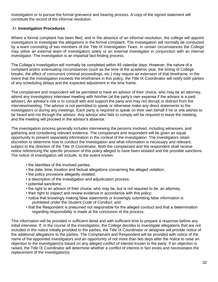investigation or to pursue the formal grievance and hearing process. A copy of the signed statement will constitute the record of the informal resolution.

#### XI. **Investigation Procedures**

Where a formal complaint has been filed, and in the absence of an informal resolution, the college will appoint investigators to investigate the allegations in the formal complaint. The investigation will normally be conducted by a team consisting of two members of the Title IX Investigation Team. In certain circumstances the College may utilize an external team of investigators solely or an external investigator in conjunction with an internal investigator. The investigation is an impartial fact-finding process.

The College's investigation will normally be completed within 45 calendar days. However, the nature of a complaint and/or extenuating circumstances (such as the time of the academic year, the timing of College breaks, the effect of concurrent criminal proceedings, etc.) may require an extension of that timeframe. In the event that the investigation exceeds the timeframes in this policy, the Title IX Coordinator will notify both parties of any scheduling delays and the expected adjustment in the time frame.

The complainant and respondent will be permitted to have an advisor of their choice, who may be an attorney, attend any investigatory interview/ meeting with him/her (at the party's own expense if the advisor is a paid advisor). An advisor's role is to consult with and support the party and may not disrupt or distract from the interview/meeting. The advisor is not permitted to speak or otherwise make any direct statements to the investigators or during any meetings. Each party is required to speak on their own behalf if he or she wishes to be heard and not through the advisor. Any advisor who fails to comply will be required to leave the meeting, and the meeting will proceed in the advisor's absence.

The investigation process generally includes interviewing the persons involved, including witnesses, and gathering and considering relevant evidence. The complainant and respondent will be given an equal opportunity to present separately information in the context of the investigation. The investigators retain discretion to determine how to conduct the investigation and what information is necessary and relevant, subject to the direction of the Title IX Coordinator. Both the complainant and the respondent shall receive notice referencing the specific provision of this policy alleged to have been violated and the possible sanctions. The notice of investigation will include, to the extent known:

- the identities of the involved parties;
- the date, time, location and factual allegations concerning the alleged violation;
- the policy provisions allegedly violated;
- a description of the investigation and adjudication process;
- potential sanctions;
- the right to an advisor of their choice, who may be, but is not required to be, an attorney;
- their right to inspect and review evidence in accordance with this policy;
- notice that knowingly making false statements or knowingly submitting false information is prohibited under the Student Code of Conduct; and
- that the Respondent is presumed not responsible for the alleged conduct and that a determination regarding responsibility is made at the conclusion of the process.

This information will be provided in sufficient detail and with sufficient time to prepare a response before any initial interview. If, in the course of the investigation, the College decides to investigate allegations that are not included in the notice initially provided to the parties, the Title IX Coordinator or designee will provide notice of the additional allegations to the parties. The Complainant and Respondent will be provided with notice of the name of the appointed investigators and an opportunity of not more than two days after the notice to raise an objection to the investigator(s) based on any alleged conflict of interest known to the party. If an objection is raised, the Title IX Coordinator will determine whether a conflict of interest in fact exists and necessitates the replacement of the investigator(s).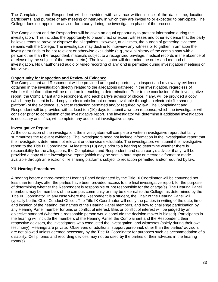The Complainant and Respondent will be provided with advance written notice of the date, time, location, participants, and purpose of any meeting or interview in which they are invited to or expected to participate. The College does not appoint an advisor for a party during the investigation phase of the process.

The Complainant and the Respondent will be given an equal opportunity to present information during the investigation. This includes the opportunity to present fact or expert witnesses and other evidence that the party believes tends to prove or disprove the allegations. However, at all times, the burden of gathering evidence remains with the College. The investigator may decline to interview any witness or to gather information the investigator finds to be not relevant or otherwise excludable (e.g., sexual history of the complainant with a person other than the respondent, materials subject to a recognized privilege, medical records in the absence of a release by the subject of the records, etc.). The investigator will determine the order and method of investigation. No unauthorized audio or video recording of any kind is permitted during investigation meetings or interviews.

#### **Opportunity for Inspection and Review of Evidence**

The Complainant and Respondent will be provided an equal opportunity to inspect and review any evidence obtained in the investigation directly related to the allegations gathered in the investigation, regardless of whether the information will be relied on in reaching a determination. Prior to the conclusion of the investigative report, the Complainant and Respondent, and each party's advisor of choice, if any, will be provided a copy (which may be sent in hard copy or electronic format or made available through an electronic file sharing platform) of the evidence, subject to redaction permitted and/or required by law. The Complainant and Respondent will be provided with at least ten (10) days to submit a written response, which the investigator will consider prior to completion of the investigative report. The investigator will determine if additional investigation is necessary and, if so, will complete any additional investigative steps.

#### **Investigative Report**

At the conclusion of the investigation, the investigators will complete a written investigative report that fairly summarizes the relevant evidence. The investigators need not include information in the investigative report that the investigators determine not relevant or otherwise excludable. The investigators will submit the investigative report to the Title IX Coordinator. At least ten (10) days prior to a hearing to determine whether there is responsibility for the allegations, the Complainant and Respondent, and each party's advisor if any, will be provided a copy of the investigative report (which may be sent in hard copy or electronic format or made available through an electronic file sharing platform), subject to redaction permitted and/or required by law.

#### XII. **Hearing Procedures**

A hearing before a three-member Hearing Panel designated by the Title IX Coordinator will be convened not less than ten days after the parties have been provided access to the final investigative report, for the purpose of determining whether the Respondent is responsible or not responsible for the charge(s). The Hearing Panel members may be members of the campus community or may be external to the College, as determined by the Title IX Coordinator. In any case where the Respondent is a student, the Chair of the Hearing Panel will typically be the Chief Conduct Officer. The Title IX Coordinator will notify the parties in writing of the date, time, and location of the hearing, the names of the Hearing Panel members, and how to challenge participation by any Hearing Panel member for bias or conflict of interest. Bias or conflict of interest will be judged by an objective standard (whether a reasonable person would conclude the decision maker is biased). Participants in the hearing will include the members of the Hearing Panel, the Complainant and the Respondent, their respective advisors, the investigators who conducted the investigation, and witnesses (solely during their own testimony). Hearings are private. Observers or additional support personnel, other than the parties' advisors, are not allowed unless deemed necessary by the Title IX Coordinator for purposes such as accommodation of a disability. Cell phones and recording devices may not be used by the parties or their advisors in the hearing room(s).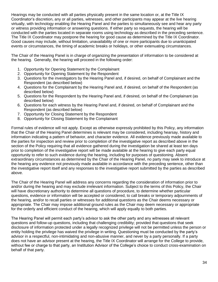Hearings may be conducted with all parties physically present in the same location or, at the Title IX Coordinator's discretion, any or all parties, witnesses, and other participants may appear at the live hearing virtually, with technology enabling the Hearing Panel and the parties to simultaneously see and hear any party or witness providing information or answering questions. If either party so requests, the hearing will be conducted with the parties located in separate rooms using technology as described in the preceding sentence. The Title IX Coordinator may postpone the hearing for good cause as determined by the Title IX Coordinator. Good causes may include, without limitation, unavailability of one or more participants due to unanticipated events or circumstances, the timing of academic breaks or holidays, or other extenuating circumstances.

The Chair of the Hearing Panel is in charge of organizing the presentation of information to be considered at the hearing. Generally, the hearing will proceed in the following order:

- 1. Opportunity for Opening Statement by the Complainant
- 2. Opportunity for Opening Statement by the Respondent
- 3. Questions for the investigators by the Hearing Panel and, if desired, on behalf of Complainant and the Respondent (as described below)
- 4. Questions for the Complainant by the Hearing Panel and, if desired, on behalf of the Respondent (as described below)
- 5. Questions for the Respondent by the Hearing Panel and, if desired, on behalf of the Complainant (as described below)
- 6. Questions for each witness by the Hearing Panel and, if desired, on behalf of Complainant and the Respondent (as described below)
- 7. Opportunity for Closing Statement by the Respondent
- 8. Opportunity for Closing Statement by the Complainant

Formal rules of evidence will not apply. Except as otherwise expressly prohibited by this Policy, any information that the Chair of the Hearing Panel determines is relevant may be considered, including hearsay, history and information indicating a pattern of behavior, and character evidence. All evidence previously made available to the parties for inspection and review prior to completion of the investigative report as described above in the section of the Policy requiring that all evidence gathered during the investigation be shared at least ten days prior to completion of the investigative report will be made available at the hearing to give each party equal opportunity to refer to such evidence during the hearing, including for purposes of questioning. Absent extraordinary circumstances as determined by the Chair of the Hearing Panel, no party may seek to introduce at the hearing any evidence not previously made available in accordance with the preceding sentence, other than the investigative report itself and any responses to the investigative report submitted by the parties as described above.

The Chair of the Hearing Panel will address any concerns regarding the consideration of information prior to and/or during the hearing and may exclude irrelevant information. Subject to the terms of this Policy, the Chair will have discretionary authority to determine all questions of procedure, to determine whether particular questions, evidence or information will be accepted or considered, to call breaks or temporary adjournments of the hearing, and/or to recall parties or witnesses for additional questions as the Chair deems necessary or appropriate. The Chair may impose additional ground rules as the Chair may deem necessary or appropriate for the orderly and efficient conduct of the hearing, which will apply equally to both parties.

The Hearing Panel will permit each party's advisor to ask the other party and any witnesses all relevant questions and follow-up questions, including that challenging credibility; provided that questions that seek disclosure of information protected under a legally recognized privilege will not be permitted unless the person or entity holding the privilege has waived the privilege in writing. Questioning must be conducted by the party's advisor in a respectful, non-intimidating and non-abusive manner, and never by a party personally. If a party does not have an advisor present at the hearing, the Title IX Coordinator will arrange for the College to provide, without fee or charge to that party, an Institution Advisor of the College's choice to conduct cross-examination on behalf of that party.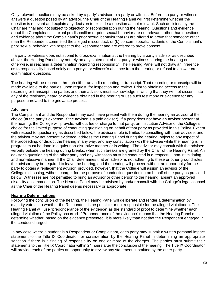Only relevant questions may be asked by a party's advisor to a party or witness. Before the party or witness answers a question posed by an advisor, the Chair of the Hearing Panel will first determine whether the question is relevant and explain any decision to exclude a question as not relevant. Such decisions by the Chair are final and not subject to objection or reconsideration during the hearing. Questions and evidence about the Complainant's sexual predisposition or prior sexual behavior are not relevant, other than questions and evidence about the Complainant's prior sexual behavior that (a) are offered to prove that someone other than the Respondent committed the alleged misconduct, or (b) concern specific incidents of the Complainant's prior sexual behavior with respect to the Respondent and are offered to prove consent.

If a party or witness does not submit to cross-examination at the hearing by a party's advisor as described above, the Hearing Panel may not rely on any statement of that party or witness, during the hearing or otherwise, in reaching a determination regarding responsibility. The Hearing Panel will not draw an inference as to responsibility based solely on a party's or witness's absence from the hearing or refusal to answer crossexamination questions.

The hearing will be recorded through either an audio recording or transcript. That recording or transcript will be made available to the parties, upon request, for inspection and review. Prior to obtaining access to the recording or transcript, the parties and their advisors must acknowledge in writing that they will not disseminate any of the testimony heard or evidence obtained in the hearing or use such testimony or evidence for any purpose unrelated to the grievance process.

#### **Advisors**

The Complainant and the Respondent may each have present with them during the hearing an advisor of their choice (at the party's expense, if the advisor is a paid advisor). If a party does not have an advisor present at the hearing, the College will provide, without fee or charge to that party, an Institution Advisor of the College's choice for the limited purpose of conducting questioning on behalf of that party as provided in this Policy. Except with respect to questioning as described below, the advisor's role is limited to consulting with their advisee, and the advisor may not present evidence, address the Hearing Panel during the hearing, object to any aspect of the proceeding, or disrupt the hearing in any way, and any consultation with the advisee while the hearing is in progress must be done in a quiet non-disruptive manner or in writing. The advisor may consult with the advisee verbally outside the hearing during breaks, when such breaks are granted by the Chair of the Hearing Panel. An advisor's questioning of the other party and any witnesses must be conducted in a respectful, non-intimidating and non-abusive manner. If the Chair determines that an advisor is not adhering to these or other ground rules, the advisor may be required to leave the hearing, and the hearing will proceed without an opportunity for the party to obtain a replacement advisor; provided, however, that the College will assign an advisor of the College's choosing, without charge, for the purpose of conducting questioning on behalf of the party as provided below. Witnesses are not permitted to bring an advisor or other person to the hearing, absent an approved disability accommodation. The Hearing Panel may be advised by and/or consult with the College's legal counsel as the Chair of the Hearing Panel deems necessary or appropriate.

#### **Hearing Determinations**

Following the conclusion of the hearing, the Hearing Panel will deliberate and render a determination by majority vote as to whether the Respondent is responsible or not responsible for the alleged violation(s). The Hearing Panel will use "preponderance of the evidence" as the standard of proof to determine whether each alleged violation of the Policy occurred. "Preponderance of the evidence" means that the Hearing Panel must determine whether, based on the evidence presented, it is more likely than not that the Respondent engaged in the conduct charged.

In any case where a student is a Respondent or Complainant, each party may submit a written personal impact statement to the Title IX Coordinator for consideration by the Hearing Panel in determining an appropriate sanction if there is a finding of responsibility on one or more of the charges. The parties must submit their statements to the Title IX Coordinator within 24 hours after the conclusion of the hearing. The Title IX Coordinator will provide each of the parties an opportunity to review any statement submitted by the other party.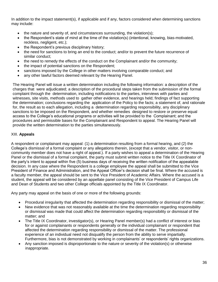In addition to the impact statement(s), if applicable and if any, factors considered when determining sanctions may include:

- the nature and severity of, and circumstances surrounding, the violation(s);
- the Respondent's state of mind at the time of the violation(s) (intentional, knowing, bias-motivated, reckless, negligent, etc.);
- the Respondent's previous disciplinary history;
- the need for sanctions to bring an end to the conduct; and/or to prevent the future recurrence of similar conduct;
- the need to remedy the effects of the conduct on the Complainant and/or the community;
- the impact of potential sanctions on the Respondent;
- sanctions imposed by the College in other matters involving comparable conduct; and
- any other lawful factors deemed relevant by the Hearing Panel.

The Hearing Panel will issue a written determination including the following information: a description of the charges that were adjudicated; a description of the procedural steps taken from the submission of the formal complaint through the determination, including notifications to the parties, interviews with parties and witnesses, site visits, methods used to gather other evidence, and hearings held; findings of fact supporting the determination; conclusions regarding the application of the Policy to the facts; a statement of, and rationale for, the result as to each allegation, including a determination regarding responsibility, any disciplinary sanctions to be imposed on the Respondent, and whether remedies designed to restore or preserve equal access to the College's educational programs or activities will be provided to the Complainant; and the procedures and permissible bases for the Complainant and Respondent to appeal. The Hearing Panel will provide the written determination to the parties simultaneously.

#### XIII. **Appeals**

A respondent or complainant may appeal: (1) a determination resulting from a formal hearing, and (2) the College's dismissal of a formal complaint or any allegations therein, (except that a vendor, visitor, or noncommunity member does not have a right of appeal.). If a party wishes to appeal a determination of the Hearing Panel or the dismissal of a formal complaint, the party must submit written notice to the Title IX Coordinator of the party's intent to appeal within five (5) business days of receiving the written notification of the appealable decision. In any case where the Respondent is a college employee the appeal shall be submitted to the Vice President of Finance and Administration, and the Appeal Officer's decision shall be final. Where the accused is a faculty member, the appeal should be sent to the Vice President of Academic Affairs. Where the accused is a student, the appeal will be considered by an appellate panel consisting of the Vice President of Campus Life and Dean of Students and two other College officials appointed by the Title IX Coordinator.

Any party may appeal on the basis of one or more of the following grounds:

- Procedural irregularity that affected the determination regarding responsibility or dismissal of the matter;
- New evidence that was not reasonably available at the time the determination regarding responsibility or dismissal was made that could affect the determination regarding responsibility or dismissal of the matter; and
- The Title IX Coordinator, investigator(s), or Hearing Panel member(s) had a conflict of interest or bias for or against complainants or respondents generally or the individual complainant or respondent that affected the determination regarding responsibility or dismissal of the matter. The professional experience of an individual need not disqualify the person from the ability to serve impartially. Furthermore, bias is not demonstrated by working in complainants' or respondents' rights organizations.
- Any sanction imposed is disproportionate to the nature or severity of the violation(s) or otherwise inappropriate.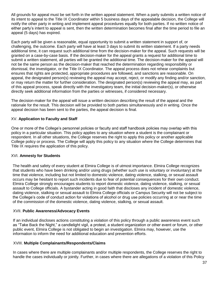All grounds for appeal must be set forth in the written appeal statement. When a party submits a written notice of its intent to appeal to the Title IX Coordinator within 5 business days of the appealable decision, the College will notify the other party in writing and implement appeal procedures equally for both parties. If no written notice of either party's intent to appeal is sent, then the written determination becomes final after the time period to file an appeal (5 days) has expired.

Each party will be given a reasonable, equal opportunity to submit a written statement in support of, or challenging, the outcome. Each party will have at least 3 days to submit its written statement. If a party needs additional time, it can request such additional time from the decision-maker for the appeal. Such requests will be granted on a case-by-case basis. If the decision-maker for the appeal grants a request for additional time to submit a written statement, all parties will be granted the additional time. The decision-maker for the appeal will not be the same person as the decision-maker that reached the determination regarding responsibility or dismissal, the investigator, or the Title IX Coordinator. The appeal process does not rehear complaints but ensures that rights are protected, appropriate procedures are followed, and sanctions are reasonable. On appeal, the designated person(s) reviewing the appeal may accept, reject, or modify any finding and/or sanction, or may return the matter for further consideration. The designated person(s) reviewing the appeal may, as part of this appeal process, speak directly with the investigatory team, the initial decision-maker(s), or otherwise directly seek additional information from the parties or witnesses, if considered necessary.

The decision-maker for the appeal will issue a written decision describing the result of the appeal and the rationale for the result. This decision will be provided to both parties simultaneously and in writing. Once the appeal decision has been sent to the parties, the appeal decision is final.

#### XV. **Application to Faculty and Staff**

One or more of the College's personnel policies or faculty and staff handbook policies may overlap with this policy in a particular situation. This policy applies to any situation where a student is the complainant or respondent. In all other situations, the College reserves the right to apply this policy or another applicable College policy or process. The College will apply this policy to any situation where the College determines that Title IX requires the application of this policy.

#### XVI. **Amnesty for Students**

The health and safety of every student at Elmira College is of utmost importance. Elmira College recognizes that students who have been drinking and/or using drugs (whether such use is voluntary or involuntary) at the time that violence, including but not limited to domestic violence, dating violence, stalking, or sexual assault occurs may be hesitant to report such incidents due to fear of potential consequences for their own conduct. Elmira College strongly encourages students to report domestic violence, dating violence, stalking, or sexual assault to College officials. A bystander acting in good faith that discloses any incident of domestic violence, dating violence, stalking or sexual assault to Elmira College officials or Campus Security will not be subject to the College's code of conduct action for violations of alcohol or drug use policies occurring at or near the time of the commission of the domestic violence, dating violence, stalking, or sexual assault.

#### XVII. **Public Awareness/Advocacy Events**

If an individual discloses actions constituting a violation of this policy through a public awareness event such as "Take Back the Night," a candlelight vigil, a protest, a student organization or other event or forum, or other public event, Elmira College is not obligated to begin an investigation. Elmira may, however, use the information to inform the need for additional education and prevention efforts.

#### XVIII. **Multiple Complainants/Respondents/Claims**

In cases where there are multiple complainants and/or multiple respondents, the College reserves the right to handle the cases individually or jointly. Further, in cases where there are allegations of a violation of this Policy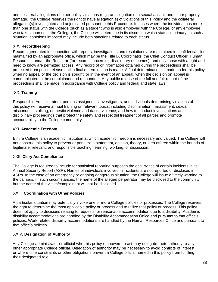and collateral allegations of other policy violations (e.g., an allegation of a sexual assault and minor property damage), the College reserves the right to have allegation(s) of violations of this Policy and the collateral allegation(s) investigated and adjudicated pursuant to this Procedure. In cases where the individual has more than one status with the College (such as a student who is also employed with the College, or any employee who takes courses at the College), the College will determine in its discretion which status is primary; in such a situation, sanctions imposed may include both sanctions related to each status.

#### XIX. **Recordkeeping**

Records generated in connection with reports, investigations and resolutions are maintained in confidential files maintained by an appropriate office, which may be the Title IX Coordinator, the Chief Conduct Officer, Human Resources, and/or the Registrar (for records concerning disciplinary outcomes), and only those with a right and need to know are permitted access. Any record of or information obtained during the proceedings shall be protected from public release until a final determination is made. A final determination is made under this policy when no appeal of the decision is sought, or in the event of an appeal, when the decision on appeal is communicated to the complainant and respondent. Any public release of the full and fair record of the proceedings shall be made in accordance with College policy and federal and state laws.

#### XX. **Training**

Responsible Administrators, persons assigned as investigators, and individuals determining violations of this policy will receive annual training on relevant topics, including discrimination, harassment, sexual misconduct, stalking, domestic violence and dating violence, and how to conduct investigations and disciplinary proceedings that protect the safety and respectful treatment of all parties and promote accountability to the College community.

#### XXI. **Academic Freedom**

Elmira College is an academic institution at which academic freedom is necessary and valued. The College will not construe this policy to prevent or penalize a statement, opinion, theory, or idea offered within the bounds of legitimate, relevant, and responsible teaching, learning, working, or discussion.

#### XXII. **Clery Act Compliance**

The College is required to include for statistical reporting purposes the occurrence of certain incidents in its Annual Security Report (ASR). Names of individuals involved in incidents are not reported or disclosed in ASRs. In the case of an emergency or ongoing dangerous situation, the College will issue a timely warning to the campus. In such circumstances, the name of the alleged perpetrator may be disclosed to the community, but the name of the victim/complainant will not be disclosed.

#### XXIII. **Coordination with Other Policies**

A particular situation may potentially invoke one or more College policies or processes. The College reserves the right to determine the most applicable policy or process and to utilize that policy or process. This policy does not apply to decisions relating to requests for reasonable accommodation due to a disability. Academic disability accommodations are handled by the Disability Accommodation Office and pursuant to that office's policies. Work-related disability accommodations are handled by the Human Resources Office and pursuant to that office's policies.

#### XXIV. **Designation of Authority**

Any College administrator or official who this policy empowers to act may delegate their authority to any other appropriate College official. Delegation of authority may be necessary to avoid conflicts of interest or where time constraints or other obligations prevent a College official named in this policy from fulfilling their designated role.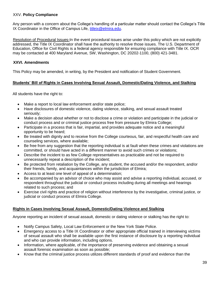#### XXV. **Policy Compliance**

Any person with a concern about the College's handling of a particular matter should contact the College's Title IX Coordinator in the Office of Campus Life, [titleix@elmira.edu.](mailto:titleix@elmira.edu)

Resolution of Procedural Issues-In the event procedural issues arise under this policy which are not explicitly addressed, the Title IX Coordinator shall have the authority to resolve those issues. The U.S. Department of Education, Office for Civil Rights is a federal agency responsible for ensuring compliance with Title IX. OCR may be contacted at 400 Maryland Avenue, SW, Washington, DC 20202-1100, (800) 421-3481.

#### **XXVI. Amendments**

This Policy may be amended, in writing, by the President and notification of Student Government.

#### **Students' Bill of Rights in Cases Involving Sexual Assault, Domestic/Dating Violence, and Stalking**

All students have the right to:

- Make a report to local law enforcement and/or state police;
- Have disclosures of domestic violence, dating violence, stalking, and sexual assault treated seriously;
- Make a decision about whether or not to disclose a crime or violation and participate in the judicial or conduct process and or criminal justice process free from pressure by Elmira College;
- Participate in a process that is fair, impartial, and provides adequate notice and a meaningful opportunity to be heard;
- Be treated with dignity and to receive from the College courteous, fair, and respectful health care and counseling services, where available;
- Be free from any suggestion that the reporting individual is at fault when these crimes and violations are committed, or should have acted in a different manner to avoid such crimes or violations;
- Describe the incident to as few College representatives as practicable and not be required to unnecessarily repeat a description of the incident;
- Be protected from retaliation by the College, any student, the accused and/or the respondent, and/or their friends, family, and acquaintances within the jurisdiction of Elmira;
- Access to at least one level of appeal of a determination;
- Be accompanied by an advisor of choice who may assist and advise a reporting individual, accused, or respondent throughout the judicial or conduct process including during all meetings and hearings related to such process; and
- Exercise civil rights and practice of religion without interference by the investigative, criminal justice, or judicial or conduct process of Elmira College.

#### **Rights in Cases Involving Sexual Assault, Domestic/Dating Violence and Stalking**

Anyone reporting an incident of sexual assault, domestic or dating violence or stalking has the right to:

- Notify Campus Safety, Local Law Enforcement or the New York State Police.
- Emergency access to a Title IX Coordinator or other appropriate official trained in interviewing victims of sexual assault who shall be available upon the first instance of disclosure by a reporting individual and who can provide information, including options.
- Information, where applicable, of the importance of preserving evidence and obtaining a sexual assault forensic examination as soon as possible;
- Know that the criminal justice process utilizes different standards of proof and evidence than the